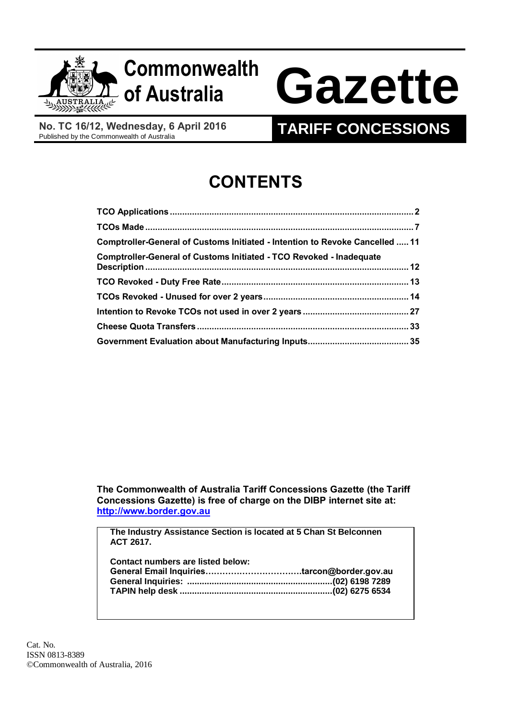

# **Commonwealth**

# **of Australia Gazette**

**No. TC 16/12, Wednesday, 6 April 2016**

# **TARIFF CONCESSIONS**

# **CONTENTS**

| Comptroller-General of Customs Initiated - Intention to Revoke Cancelled  11 |  |
|------------------------------------------------------------------------------|--|
|                                                                              |  |
|                                                                              |  |
|                                                                              |  |
|                                                                              |  |
|                                                                              |  |
|                                                                              |  |

**The Commonwealth of Australia Tariff Concessions Gazette (the Tariff Concessions Gazette) is free of charge on the DIBP internet site at: [http://www.border.gov.au](http://www.border.gov.au/)**

**The Industry Assistance Section is located at 5 Chan St Belconnen ACT 2617.**

| Contact numbers are listed below: |  |
|-----------------------------------|--|
|                                   |  |
|                                   |  |
|                                   |  |
|                                   |  |

Cat. No. ISSN 0813-8389 ©Commonwealth of Australia, 2016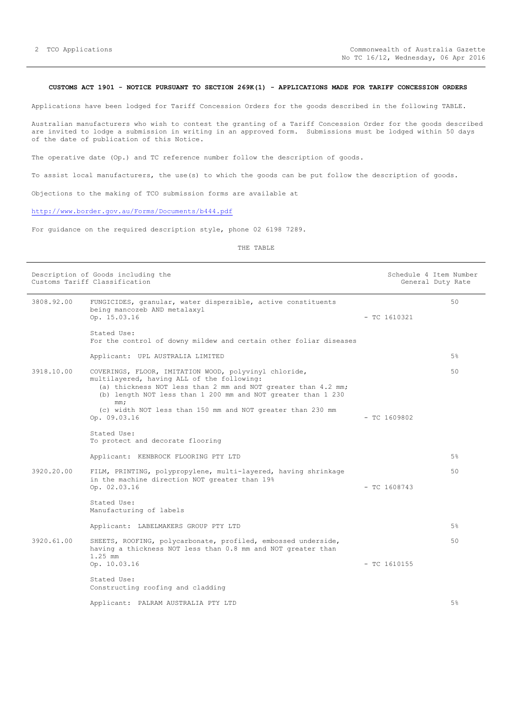#### <span id="page-1-0"></span>**CUSTOMS ACT 1901 - NOTICE PURSUANT TO SECTION 269K(1) - APPLICATIONS MADE FOR TARIFF CONCESSION ORDERS**

Applications have been lodged for Tariff Concession Orders for the goods described in the following TABLE.

Australian manufacturers who wish to contest the granting of a Tariff Concession Order for the goods described are invited to lodge a submission in writing in an approved form. Submissions must be lodged within 50 days of the date of publication of this Notice.

The operative date (Op.) and TC reference number follow the description of goods.

To assist local manufacturers, the use(s) to which the goods can be put follow the description of goods.

Objections to the making of TCO submission forms are available at

### <http://www.border.gov.au/Forms/Documents/b444.pdf>

For guidance on the required description style, phone 02 6198 7289.

| Description of Goods including the<br>Customs Tariff Classification |                                                                                                                                                                                                                                                                                                                           |                | Schedule 4 Item Number<br>General Duty Rate |
|---------------------------------------------------------------------|---------------------------------------------------------------------------------------------------------------------------------------------------------------------------------------------------------------------------------------------------------------------------------------------------------------------------|----------------|---------------------------------------------|
| 3808.92.00                                                          | FUNGICIDES, granular, water dispersible, active constituents<br>being mancozeb AND metalaxyl<br>Op. 15.03.16                                                                                                                                                                                                              | $-$ TC 1610321 | 50                                          |
|                                                                     | Stated Use:<br>For the control of downy mildew and certain other foliar diseases                                                                                                                                                                                                                                          |                |                                             |
|                                                                     | Applicant: UPL AUSTRALIA LIMITED                                                                                                                                                                                                                                                                                          |                | 5%                                          |
| 3918.10.00                                                          | COVERINGS, FLOOR, IMITATION WOOD, polyvinyl chloride,<br>multilayered, having ALL of the following:<br>(a) thickness NOT less than 2 mm and NOT greater than 4.2 mm;<br>(b) length NOT less than 1 200 mm and NOT greater than 1 230<br>mm;<br>(c) width NOT less than 150 mm and NOT greater than 230 mm<br>Op. 09.03.16 | $-$ TC 1609802 | 50                                          |
|                                                                     | Stated Use:<br>To protect and decorate flooring                                                                                                                                                                                                                                                                           |                |                                             |
|                                                                     | Applicant: KENBROCK FLOORING PTY LTD                                                                                                                                                                                                                                                                                      |                | 5%                                          |
| 3920.20.00                                                          | FILM, PRINTING, polypropylene, multi-layered, having shrinkage<br>in the machine direction NOT greater than 19%<br>Op. 02.03.16                                                                                                                                                                                           | $-$ TC 1608743 | 50                                          |
|                                                                     | Stated Use:<br>Manufacturing of labels                                                                                                                                                                                                                                                                                    |                |                                             |
|                                                                     | Applicant: LABELMAKERS GROUP PTY LTD                                                                                                                                                                                                                                                                                      |                | 5%                                          |
| 3920.61.00                                                          | SHEETS, ROOFING, polycarbonate, profiled, embossed underside,<br>having a thickness NOT less than 0.8 mm and NOT greater than<br>$1.25$ mm                                                                                                                                                                                |                | 50                                          |
|                                                                     | Op. 10.03.16                                                                                                                                                                                                                                                                                                              | $-$ TC 1610155 |                                             |
|                                                                     | Stated Use:<br>Constructing roofing and cladding                                                                                                                                                                                                                                                                          |                |                                             |
|                                                                     | Applicant: PALRAM AUSTRALIA PTY LTD                                                                                                                                                                                                                                                                                       |                | 5%                                          |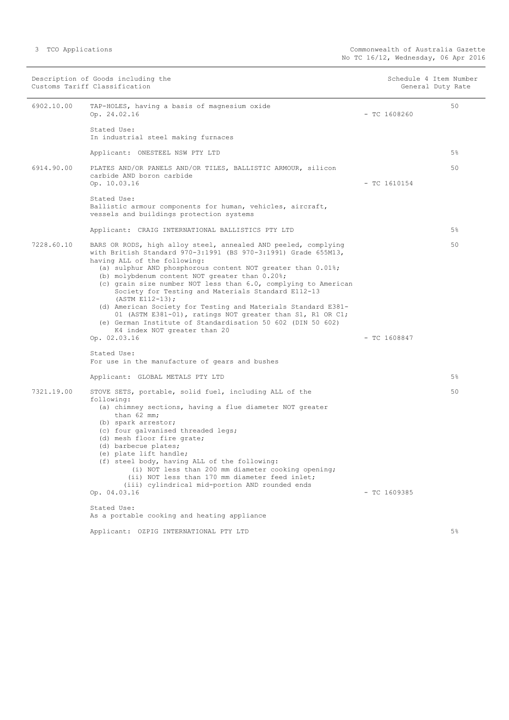|  | TCO Applications |
|--|------------------|
|--|------------------|

|            | Description of Goods including the<br>Customs Tariff Classification                                                                                                                                                                                                                                                                                                                                                                                                                                                                                                                                                                                        |                | Schedule 4 Item Number<br>General Duty Rate |
|------------|------------------------------------------------------------------------------------------------------------------------------------------------------------------------------------------------------------------------------------------------------------------------------------------------------------------------------------------------------------------------------------------------------------------------------------------------------------------------------------------------------------------------------------------------------------------------------------------------------------------------------------------------------------|----------------|---------------------------------------------|
| 6902.10.00 | TAP-HOLES, having a basis of magnesium oxide<br>Op. 24.02.16                                                                                                                                                                                                                                                                                                                                                                                                                                                                                                                                                                                               | $-$ TC 1608260 | 50                                          |
|            | Stated Use:<br>In industrial steel making furnaces                                                                                                                                                                                                                                                                                                                                                                                                                                                                                                                                                                                                         |                |                                             |
|            | Applicant: ONESTEEL NSW PTY LTD                                                                                                                                                                                                                                                                                                                                                                                                                                                                                                                                                                                                                            |                | $5\%$                                       |
| 6914.90.00 | PLATES AND/OR PANELS AND/OR TILES, BALLISTIC ARMOUR, silicon<br>carbide AND boron carbide<br>Op. 10.03.16                                                                                                                                                                                                                                                                                                                                                                                                                                                                                                                                                  | $-$ TC 1610154 | 50                                          |
|            | Stated Use:<br>Ballistic armour components for human, vehicles, aircraft,<br>vessels and buildings protection systems                                                                                                                                                                                                                                                                                                                                                                                                                                                                                                                                      |                |                                             |
|            | Applicant: CRAIG INTERNATIONAL BALLISTICS PTY LTD                                                                                                                                                                                                                                                                                                                                                                                                                                                                                                                                                                                                          |                | 5%                                          |
| 7228.60.10 | BARS OR RODS, high alloy steel, annealed AND peeled, complying<br>with British Standard 970-3:1991 (BS 970-3:1991) Grade 655M13,<br>having ALL of the following:<br>(a) sulphur AND phosphorous content NOT greater than $0.01\$<br>(b) molybdenum content NOT greater than 0.20%;<br>(c) grain size number NOT less than 6.0, complying to American<br>Society for Testing and Materials Standard E112-13<br>(ASTM E112-13);<br>(d) American Society for Testing and Materials Standard E381-<br>01 (ASTM E381-01), ratings NOT greater than S1, R1 OR C1;<br>(e) German Institute of Standardisation 50 602 (DIN 50 602)<br>K4 index NOT greater than 20 |                | 50                                          |
|            | Op. 02.03.16                                                                                                                                                                                                                                                                                                                                                                                                                                                                                                                                                                                                                                               | $-$ TC 1608847 |                                             |
|            | Stated Use:<br>For use in the manufacture of gears and bushes                                                                                                                                                                                                                                                                                                                                                                                                                                                                                                                                                                                              |                |                                             |
|            | Applicant: GLOBAL METALS PTY LTD                                                                                                                                                                                                                                                                                                                                                                                                                                                                                                                                                                                                                           |                | 5%                                          |
| 7321.19.00 | STOVE SETS, portable, solid fuel, including ALL of the<br>following:<br>(a) chimney sections, having a flue diameter NOT greater<br>than 62 mm;<br>(b) spark arrestor;<br>(c) four galvanised threaded legs;<br>(d) mesh floor fire grate;<br>(d) barbecue plates;<br>(e) plate lift handle;<br>(f) steel body, having ALL of the following:<br>(i) NOT less than 200 mm diameter cooking opening;<br>(ii) NOT less than 170 mm diameter feed inlet;<br>(iii) cylindrical mid-portion AND rounded ends<br>Op. 04.03.16<br>Stated Use:                                                                                                                      | $-$ TC 1609385 | 50                                          |
|            | As a portable cooking and heating appliance                                                                                                                                                                                                                                                                                                                                                                                                                                                                                                                                                                                                                |                |                                             |
|            | Applicant: OZPIG INTERNATIONAL PTY LTD                                                                                                                                                                                                                                                                                                                                                                                                                                                                                                                                                                                                                     |                | $5\%$                                       |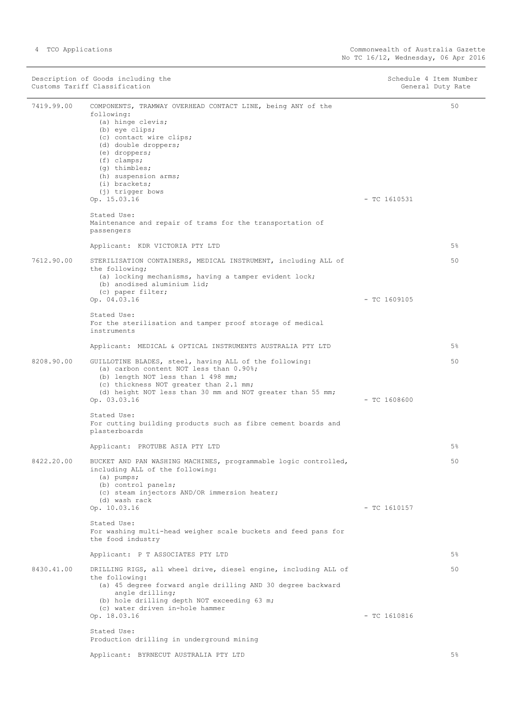|            | Description of Goods including the<br>Customs Tariff Classification                                                                                                                                                                                                                                 | Schedule 4 Item Number<br>General Duty Rate |
|------------|-----------------------------------------------------------------------------------------------------------------------------------------------------------------------------------------------------------------------------------------------------------------------------------------------------|---------------------------------------------|
| 7419.99.00 | COMPONENTS, TRAMWAY OVERHEAD CONTACT LINE, being ANY of the<br>following:<br>(a) hinge clevis;<br>(b) eye clips;<br>(c) contact wire clips;<br>(d) double droppers;<br>(e) droppers;<br>$(f)$ clamps;<br>(g) thimbles;<br>(h) suspension arms;<br>(i) brackets;<br>(j) trigger bows<br>Op. 15.03.16 | 50<br>$-$ TC 1610531                        |
|            | Stated Use:<br>Maintenance and repair of trams for the transportation of<br>passengers                                                                                                                                                                                                              |                                             |
|            | Applicant: KDR VICTORIA PTY LTD                                                                                                                                                                                                                                                                     | 5%                                          |
| 7612.90.00 | STERILISATION CONTAINERS, MEDICAL INSTRUMENT, including ALL of<br>the following;<br>(a) locking mechanisms, having a tamper evident lock;<br>(b) anodised aluminium lid;<br>(c) paper filter;                                                                                                       | 50                                          |
|            | Op. 04.03.16<br>Stated Use:<br>For the sterilisation and tamper proof storage of medical<br>instruments                                                                                                                                                                                             | $-$ TC 1609105                              |
|            | Applicant: MEDICAL & OPTICAL INSTRUMENTS AUSTRALIA PTY LTD                                                                                                                                                                                                                                          | 5%                                          |
| 8208.90.00 | GUILLOTINE BLADES, steel, having ALL of the following:<br>(a) carbon content NOT less than 0.90%;<br>(b) length NOT less than 1 498 mm;<br>(c) thickness NOT greater than 2.1 mm;<br>(d) height NOT less than 30 mm and NOT greater than 55 mm;<br>Op. 03.03.16                                     | 50<br>$-$ TC 1608600                        |
|            | Stated Use:<br>For cutting building products such as fibre cement boards and<br>plasterboards                                                                                                                                                                                                       |                                             |
|            | Applicant: PROTUBE ASIA PTY LTD                                                                                                                                                                                                                                                                     | 5%                                          |
| 8422.20.00 | BUCKET AND PAN WASHING MACHINES, programmable logic controlled,<br>including ALL of the following:<br>$(a)$ pumps;<br>(b) control panels;<br>(c) steam injectors AND/OR immersion heater;<br>(d) wash rack<br>Op. 10.03.16                                                                          | 50<br>$-$ TC 1610157                        |
|            | Stated Use:<br>For washing multi-head weigher scale buckets and feed pans for<br>the food industry                                                                                                                                                                                                  |                                             |
|            | Applicant: P T ASSOCIATES PTY LTD                                                                                                                                                                                                                                                                   | 5%                                          |
| 8430.41.00 | DRILLING RIGS, all wheel drive, diesel engine, including ALL of<br>the following:<br>(a) 45 degree forward angle drilling AND 30 degree backward<br>angle drilling;<br>(b) hole drilling depth NOT exceeding 63 m;<br>(c) water driven in-hole hammer<br>Op. 18.03.16                               | 50<br>$-$ TC 1610816                        |
|            | Stated Use:<br>Production drilling in underground mining                                                                                                                                                                                                                                            |                                             |
|            | Applicant: BYRNECUT AUSTRALIA PTY LTD                                                                                                                                                                                                                                                               | 5%                                          |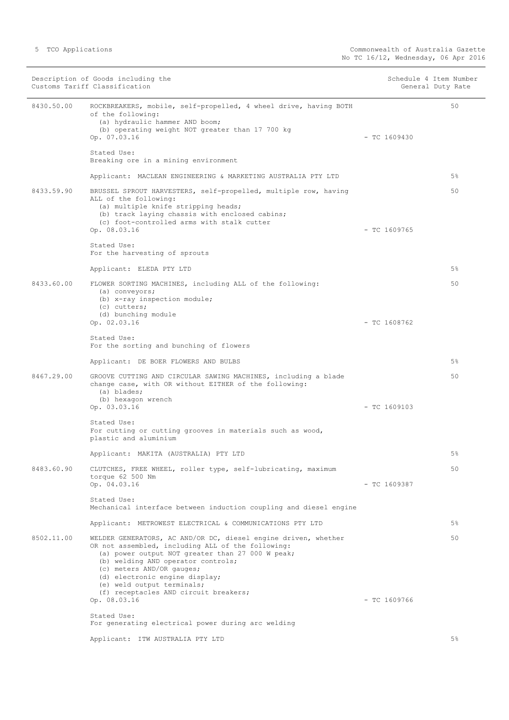|            | Description of Goods including the<br>Customs Tariff Classification                                                                                                                                                                                                                                                                                                 |                | Schedule 4 Item Number<br>General Duty Rate |
|------------|---------------------------------------------------------------------------------------------------------------------------------------------------------------------------------------------------------------------------------------------------------------------------------------------------------------------------------------------------------------------|----------------|---------------------------------------------|
| 8430.50.00 | ROCKBREAKERS, mobile, self-propelled, 4 wheel drive, having BOTH<br>of the following:<br>(a) hydraulic hammer AND boom;<br>(b) operating weight NOT greater than 17 700 kg<br>Op. 07.03.16                                                                                                                                                                          | $-$ TC 1609430 | 50                                          |
|            | Stated Use:<br>Breaking ore in a mining environment                                                                                                                                                                                                                                                                                                                 |                |                                             |
|            | Applicant: MACLEAN ENGINEERING & MARKETING AUSTRALIA PTY LTD                                                                                                                                                                                                                                                                                                        |                | $5\%$                                       |
| 8433.59.90 | BRUSSEL SPROUT HARVESTERS, self-propelled, multiple row, having<br>ALL of the following:<br>(a) multiple knife stripping heads;<br>(b) track laying chassis with enclosed cabins;<br>(c) foot-controlled arms with stalk cutter<br>Op. 08.03.16                                                                                                                     | $-$ TC 1609765 | 50                                          |
|            | Stated Use:<br>For the harvesting of sprouts                                                                                                                                                                                                                                                                                                                        |                |                                             |
|            | Applicant: ELEDA PTY LTD                                                                                                                                                                                                                                                                                                                                            |                | $5\%$                                       |
| 8433.60.00 | FLOWER SORTING MACHINES, including ALL of the following:<br>(a) conveyors;<br>(b) x-ray inspection module;<br>(c) cutters;<br>(d) bunching module                                                                                                                                                                                                                   |                | 50                                          |
|            | Op. 02.03.16                                                                                                                                                                                                                                                                                                                                                        | $-$ TC 1608762 |                                             |
|            | Stated Use:<br>For the sorting and bunching of flowers                                                                                                                                                                                                                                                                                                              |                |                                             |
|            | Applicant: DE BOER FLOWERS AND BULBS                                                                                                                                                                                                                                                                                                                                |                | 5%                                          |
| 8467.29.00 | GROOVE CUTTING AND CIRCULAR SAWING MACHINES, including a blade<br>change case, with OR without EITHER of the following:<br>(a) blades;<br>(b) hexagon wrench<br>Op. 03.03.16                                                                                                                                                                                        | $-$ TC 1609103 | 50                                          |
|            | Stated Use:<br>For cutting or cutting grooves in materials such as wood,<br>plastic and aluminium                                                                                                                                                                                                                                                                   |                |                                             |
|            | Applicant: MAKITA (AUSTRALIA) PTY LTD                                                                                                                                                                                                                                                                                                                               |                | 5%                                          |
| 8483.60.90 | CLUTCHES, FREE WHEEL, roller type, self-lubricating, maximum<br>torque 62 500 Nm                                                                                                                                                                                                                                                                                    |                | 50                                          |
|            | Op. 04.03.16<br>Stated Use:                                                                                                                                                                                                                                                                                                                                         | $-$ TC 1609387 |                                             |
|            | Mechanical interface between induction coupling and diesel engine                                                                                                                                                                                                                                                                                                   |                |                                             |
|            | Applicant: METROWEST ELECTRICAL & COMMUNICATIONS PTY LTD                                                                                                                                                                                                                                                                                                            |                | $5\%$                                       |
| 8502.11.00 | WELDER GENERATORS, AC AND/OR DC, diesel engine driven, whether<br>OR not assembled, including ALL of the following:<br>(a) power output NOT greater than 27 000 W peak;<br>(b) welding AND operator controls;<br>(c) meters AND/OR gauges;<br>(d) electronic engine display;<br>(e) weld output terminals;<br>(f) receptacles AND circuit breakers;<br>Op. 08.03.16 | $-$ TC 1609766 | 50                                          |
|            | Stated Use:                                                                                                                                                                                                                                                                                                                                                         |                |                                             |
|            | For generating electrical power during arc welding                                                                                                                                                                                                                                                                                                                  |                |                                             |
|            | Applicant: ITW AUSTRALIA PTY LTD                                                                                                                                                                                                                                                                                                                                    |                | $5\%$                                       |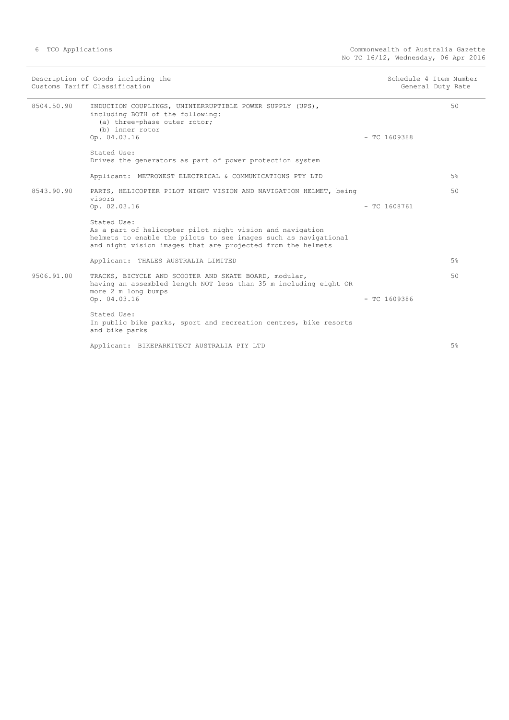|            | Description of Goods including the<br>Customs Tariff Classification                                                                                                                                        | Schedule 4 Item Number<br>General Duty Rate |    |
|------------|------------------------------------------------------------------------------------------------------------------------------------------------------------------------------------------------------------|---------------------------------------------|----|
| 8504.50.90 | INDUCTION COUPLINGS, UNINTERRUPTIBLE POWER SUPPLY (UPS),<br>including BOTH of the following:<br>(a) three-phase outer rotor;<br>(b) inner rotor<br>Op. 04.03.16                                            | $-$ TC 1609388                              | 50 |
|            | Stated Use:<br>Drives the generators as part of power protection system                                                                                                                                    |                                             |    |
|            | Applicant: METROWEST ELECTRICAL & COMMUNICATIONS PTY LTD                                                                                                                                                   |                                             | 5% |
| 8543.90.90 | PARTS, HELICOPTER PILOT NIGHT VISION AND NAVIGATION HELMET, being<br>visors<br>Op. 02.03.16                                                                                                                | $-$ TC 1608761                              | 50 |
|            | Stated Use:<br>As a part of helicopter pilot night vision and navigation<br>helmets to enable the pilots to see images such as navigational<br>and night vision images that are projected from the helmets |                                             |    |
|            | Applicant: THALES AUSTRALIA LIMITED                                                                                                                                                                        |                                             | 5% |
| 9506.91.00 | TRACKS, BICYCLE AND SCOOTER AND SKATE BOARD, modular,<br>having an assembled length NOT less than 35 m including eight OR<br>more 2 m long bumps<br>Op. 04.03.16                                           | $-$ TC 1609386                              | 50 |
|            | Stated Use:<br>In public bike parks, sport and recreation centres, bike resorts<br>and bike parks                                                                                                          |                                             |    |
|            | Applicant: BIKEPARKITECT AUSTRALIA PTY LTD                                                                                                                                                                 |                                             | 5% |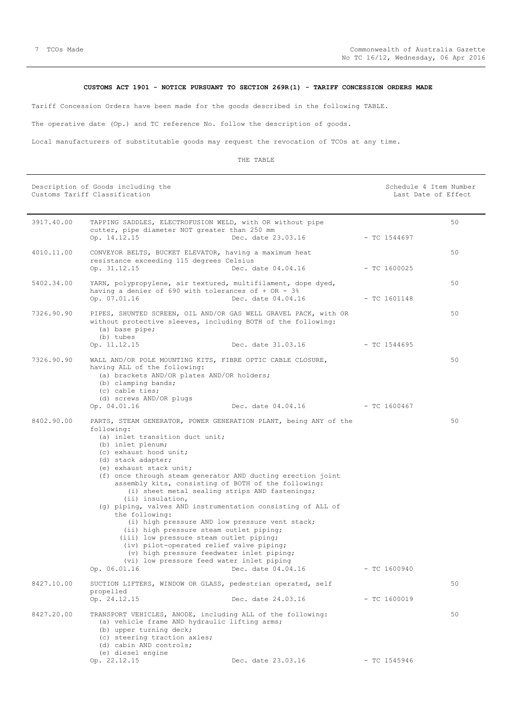# **CUSTOMS ACT 1901 - NOTICE PURSUANT TO SECTION 269R(1) - TARIFF CONCESSION ORDERS MADE**

<span id="page-6-0"></span>Tariff Concession Orders have been made for the goods described in the following TABLE.

The operative date (Op.) and TC reference No. follow the description of goods.

Local manufacturers of substitutable goods may request the revocation of TCOs at any time.

|            | Description of Goods including the<br>Customs Tariff Classification                                                                                                                                                                                                                                                                                                                                                                                                                                                                                                                                                                                                                                                                                                                          |                                 | Schedule 4 Item Number<br>Last Date of Effect |    |
|------------|----------------------------------------------------------------------------------------------------------------------------------------------------------------------------------------------------------------------------------------------------------------------------------------------------------------------------------------------------------------------------------------------------------------------------------------------------------------------------------------------------------------------------------------------------------------------------------------------------------------------------------------------------------------------------------------------------------------------------------------------------------------------------------------------|---------------------------------|-----------------------------------------------|----|
| 3917.40.00 | TAPPING SADDLES, ELECTROFUSION WELD, with OR without pipe<br>cutter, pipe diameter NOT greater than 250 mm<br>Op. 14.12.15                                                                                                                                                                                                                                                                                                                                                                                                                                                                                                                                                                                                                                                                   | Dec. date 23.03.16              | $-$ TC 1544697                                | 50 |
| 4010.11.00 | CONVEYOR BELTS, BUCKET ELEVATOR, having a maximum heat<br>resistance exceeding 115 degrees Celsius<br>Op. 31.12.15                                                                                                                                                                                                                                                                                                                                                                                                                                                                                                                                                                                                                                                                           | Dec. date 04.04.16              | $-$ TC 1600025                                | 50 |
| 5402.34.00 | YARN, polypropylene, air textured, multifilament, dope dyed,<br>having a denier of 690 with tolerances of $+$ OR - 3%<br>Op. 07.01.16                                                                                                                                                                                                                                                                                                                                                                                                                                                                                                                                                                                                                                                        | Dec. date 04.04.16              | $-$ TC 1601148                                | 50 |
| 7326.90.90 | PIPES, SHUNTED SCREEN, OIL AND/OR GAS WELL GRAVEL PACK, with OR<br>without protective sleeves, including BOTH of the following:<br>(a) base pipe;<br>(b) tubes<br>Op. 11.12.15                                                                                                                                                                                                                                                                                                                                                                                                                                                                                                                                                                                                               | Dec. date 31.03.16              | - TC 1544695                                  | 50 |
| 7326.90.90 | WALL AND/OR POLE MOUNTING KITS, FIBRE OPTIC CABLE CLOSURE,<br>having ALL of the following:<br>(a) brackets AND/OR plates AND/OR holders;<br>(b) clamping bands;<br>(c) cable ties;<br>(d) screws AND/OR plugs<br>Op. 04.01.16                                                                                                                                                                                                                                                                                                                                                                                                                                                                                                                                                                | Dec. date 04.04.16 - TC 1600467 |                                               | 50 |
| 8402.90.00 | PARTS, STEAM GENERATOR, POWER GENERATION PLANT, being ANY of the<br>following:<br>(a) inlet transition duct unit;<br>(b) inlet plenum;<br>(c) exhaust hood unit;<br>(d) stack adapter;<br>(e) exhaust stack unit;<br>(f) once through steam generator AND ducting erection joint<br>assembly kits, consisting of BOTH of the following:<br>(i) sheet metal sealing strips AND fastenings;<br>(ii) insulation,<br>(g) piping, valves AND instrumentation consisting of ALL of<br>the following:<br>(i) high pressure AND low pressure vent stack;<br>(ii) high pressure steam outlet piping;<br>(iii) low pressure steam outlet piping;<br>(iv) pilot-operated relief valve piping;<br>(v) high pressure feedwater inlet piping;<br>(vi) low pressure feed water inlet piping<br>Op. 06.01.16 | Dec. date 04.04.16              | $-$ TC 1600940                                | 50 |
| 8427.10.00 | SUCTION LIFTERS, WINDOW OR GLASS, pedestrian operated, self<br>propelled<br>Op. 24.12.15                                                                                                                                                                                                                                                                                                                                                                                                                                                                                                                                                                                                                                                                                                     | Dec. date 24.03.16              | $-$ TC 1600019                                | 50 |
| 8427.20.00 | TRANSPORT VEHICLES, ANODE, including ALL of the following:<br>(a) vehicle frame AND hydraulic lifting arms;<br>(b) upper turning deck;<br>(c) steering traction axles;<br>(d) cabin AND controls;<br>(e) diesel engine                                                                                                                                                                                                                                                                                                                                                                                                                                                                                                                                                                       |                                 |                                               | 50 |
|            | Op. 22.12.15                                                                                                                                                                                                                                                                                                                                                                                                                                                                                                                                                                                                                                                                                                                                                                                 | Dec. date 23.03.16              | $-$ TC 1545946                                |    |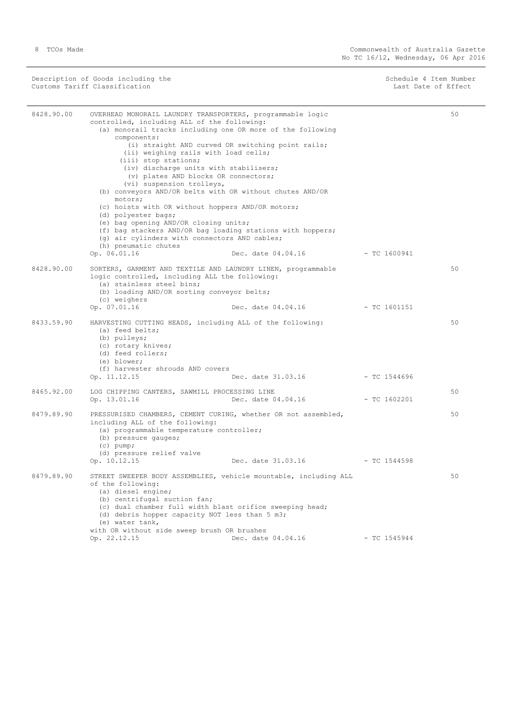Description of Goods including the Schedule 4 Item Number (Schedule 4 Item Number Customs Tariff Classification and the control of the control of the control of Effect Date of Effect

| 8428.90.00 | OVERHEAD MONORAIL LAUNDRY TRANSPORTERS, programmable logic<br>controlled, including ALL of the following:<br>(a) monorail tracks including one OR more of the following<br>components:<br>(ii) weighing rails with load cells;<br>(iii) stop stations;<br>(iv) discharge units with stabilisers;<br>(v) plates AND blocks OR connectors;<br>(vi) suspension trolleys,<br>(b) conveyors AND/OR belts with OR without chutes AND/OR<br>motors;<br>(c) hoists with OR without hoppers AND/OR motors;<br>(d) polyester bags; | (i) straight AND curved OR switching point rails;                |                | 50 |
|------------|--------------------------------------------------------------------------------------------------------------------------------------------------------------------------------------------------------------------------------------------------------------------------------------------------------------------------------------------------------------------------------------------------------------------------------------------------------------------------------------------------------------------------|------------------------------------------------------------------|----------------|----|
|            | (e) bag opening AND/OR closing units;<br>(f) bag stackers AND/OR bag loading stations with hoppers;<br>(g) air cylinders with connectors AND cables;<br>(h) pneumatic chutes                                                                                                                                                                                                                                                                                                                                             |                                                                  |                |    |
|            | Op. 06.01.16                                                                                                                                                                                                                                                                                                                                                                                                                                                                                                             | Dec. date 04.04.16                                               | - TC 1600941   |    |
| 8428.90.00 | SORTERS, GARMENT AND TEXTILE AND LAUNDRY LINEN, programmable<br>logic controlled, including ALL the following:<br>(a) stainless steel bins;<br>(b) loading AND/OR sorting conveyor belts;<br>(c) weighers<br>Op. 07.01.16                                                                                                                                                                                                                                                                                                | Dec. date 04.04.16                                               | $-$ TC 1601151 | 50 |
| 8433.59.90 | HARVESTING CUTTING HEADS, including ALL of the following:<br>(a) feed belts;<br>(b) pulleys;<br>(c) rotary knives;<br>(d) feed rollers;<br>(e) blower;<br>(f) harvester shrouds AND covers<br>Op. 11.12.15                                                                                                                                                                                                                                                                                                               | Dec. date 31.03.16                                               | - TC 1544696   | 50 |
| 8465.92.00 | LOG CHIPPING CANTERS, SAWMILL PROCESSING LINE<br>Op. 13.01.16                                                                                                                                                                                                                                                                                                                                                                                                                                                            | Dec. date 04.04.16 - TC 1602201                                  |                | 50 |
| 8479.89.90 | PRESSURISED CHAMBERS, CEMENT CURING, whether OR not assembled,<br>including ALL of the following:<br>(a) programmable temperature controller;<br>(b) pressure gauges;<br>$(c)$ pump;<br>(d) pressure relief valve                                                                                                                                                                                                                                                                                                        |                                                                  |                | 50 |
|            | Op. 10.12.15                                                                                                                                                                                                                                                                                                                                                                                                                                                                                                             | Dec. date 31.03.16                                               | $-$ TC 1544598 |    |
| 8479.89.90 | of the following:<br>(a) diesel engine;<br>(b) centrifugal suction fan;<br>(c) dual chamber full width blast orifice sweeping head;<br>(d) debris hopper capacity NOT less than 5 m3;<br>(e) water tank,<br>with OR without side sweep brush OR brushes                                                                                                                                                                                                                                                                  | STREET SWEEPER BODY ASSEMBLIES, vehicle mountable, including ALL |                | 50 |
|            | Op. 22.12.15                                                                                                                                                                                                                                                                                                                                                                                                                                                                                                             | Dec. date 04.04.16                                               | $-$ TC 1545944 |    |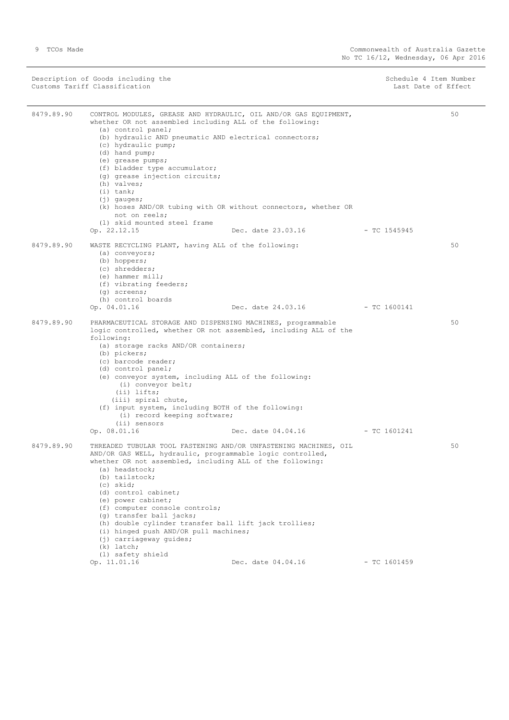Description of Goods including the Schedule 4 Item Number<br>
Customs Tariff Classification<br>
Schedule 4 Item Number<br>
Schedule 4 Item Number Customs Tariff Classification

8479.89.90 CONTROL MODULES, GREASE AND HYDRAULIC, OIL AND/OR GAS EQUIPMENT, whether OR not assembled including ALL of the following: (a) control panel; (b) hydraulic AND pneumatic AND electrical connectors; (c) hydraulic pump; (d) hand pump; (e) grease pumps; (f) bladder type accumulator; (d) grease injection circuits; (h) valves; (i) tank; (j) gauges; (k) hoses AND/OR tubing with OR without connectors, whether OR not on reels; (l) skid mounted steel frame Dec. date 23.03.16 - TC 1545945  $50$ 8479.89.90 WASTE RECYCLING PLANT, having ALL of the following: (a) conveyors; (b) hoppers; (c) shredders; (e) hammer mill; (f) vibrating feeders; (g) screens; (h) control boards Op. 04.01.16 Dec. date 24.03.16 - TC 1600141 50 8479.89.90 PHARMACEUTICAL STORAGE AND DISPENSING MACHINES, programmable logic controlled, whether OR not assembled, including ALL of the following: (a) storage racks AND/OR containers; (b) pickers; (c) barcode reader; (d) control panel; (e) conveyor system, including ALL of the following: (i) conveyor belt; (ii) lifts; (iii) spiral chute, (f) input system, including BOTH of the following: (i) record keeping software;  $(ii)$  sensors<br>Op.  $08.01.16$ Dec. date 04.04.16 - TC 1601241 50 8479.89.90 THREADED TUBULAR TOOL FASTENING AND/OR UNFASTENING MACHINES, OIL AND/OR GAS WELL, hydraulic, programmable logic controlled, whether OR not assembled, including ALL of the following: (a) headstock; (b) tailstock; (c) skid; (d) control cabinet; (e) power cabinet; (f) computer console controls; (g) transfer ball jacks; (h) double cylinder transfer ball lift jack trollies; (i) hinged push AND/OR pull machines; (j) carriageway guides; (k) latch;  $(1)$  safety shield<br>Op.  $11.01.16$ Dec. date 04.04.16 - TC 1601459 50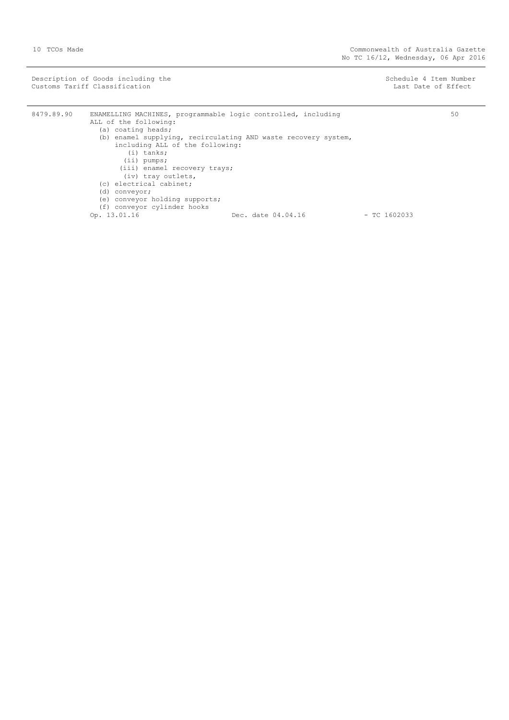Description of Goods including the Schedule 4 Item Number<br>
Customs Tariff Classification<br>
Customs Tariff Classification Customs Tariff Classification

8479.89.90 ENAMELLING MACHINES, programmable logic controlled, including ALL of the following: (a) coating heads; (b) enamel supplying, recirculating AND waste recovery system, including ALL of the following: (i) tanks; (ii) pumps; (iii) enamel recovery trays; (iv) tray outlets, (c) electrical cabinet; (d) conveyor; (e) conveyor holding supports; (f) conveyor nording support<br>(f) conveyor cylinder hooks<br>Op. 13.01.16 Dec. date 04.04.16 - TC 1602033 50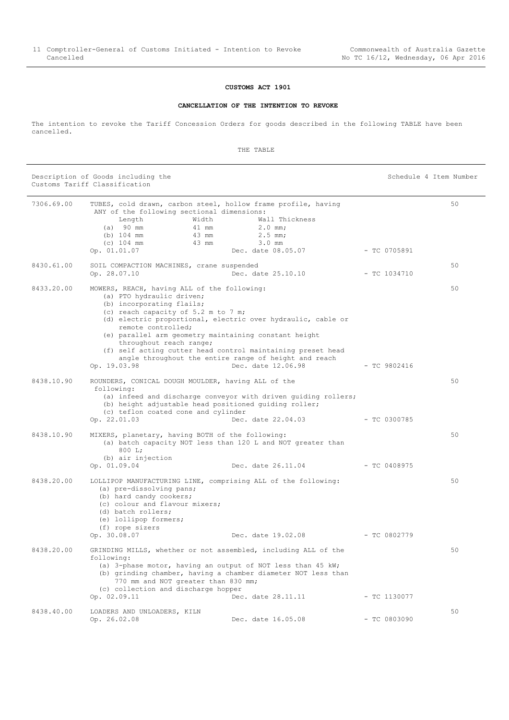## **CUSTOMS ACT 1901**

#### **CANCELLATION OF THE INTENTION TO REVOKE**

<span id="page-10-0"></span>The intention to revoke the Tariff Concession Orders for goods described in the following TABLE have been cancelled.

THE TABLE

Description of Goods including the Schedule 4 Item Number (Schedule 4 Item Number Customs Tariff Classification

| 7306.69.00 | ANY of the following sectional dimensions:<br>Width<br>Length<br>(a) 90 mm<br>$(b)$ 104 mm<br>43 mm<br>$(c)$ 104 mm<br>43 mm<br>Op. 01.01.07                                                                  | TUBES, cold drawn, carbon steel, hollow frame profile, having<br>Wall Thickness<br>$2.0$ mm;<br>41 mm<br>$2.5$ mm;<br>$3.0$ mm<br>Dec. date 08.05.07                                                                                                                | - TC 0705891   | 50 |
|------------|---------------------------------------------------------------------------------------------------------------------------------------------------------------------------------------------------------------|---------------------------------------------------------------------------------------------------------------------------------------------------------------------------------------------------------------------------------------------------------------------|----------------|----|
| 8430.61.00 | SOIL COMPACTION MACHINES, crane suspended<br>Op. 28.07.10                                                                                                                                                     | Dec. date 25.10.10                                                                                                                                                                                                                                                  | $-$ TC 1034710 | 50 |
| 8433.20.00 | MOWERS, REACH, having ALL of the following:<br>(a) PTO hydraulic driven;<br>(b) incorporating flails;<br>(c) reach capacity of 5.2 m to 7 m;<br>remote controlled;<br>throughout reach range;<br>Op. 19.03.98 | (d) electric proportional, electric over hydraulic, cable or<br>(e) parallel arm geometry maintaining constant height<br>(f) self acting cutter head control maintaining preset head<br>angle throughout the entire range of height and reach<br>Dec. date 12.06.98 | $-$ TC 9802416 | 50 |
| 8438.10.90 | ROUNDERS, CONICAL DOUGH MOULDER, having ALL of the<br>following:<br>(c) teflon coated cone and cylinder<br>Op. 22.01.03                                                                                       | (a) infeed and discharge conveyor with driven quiding rollers;<br>(b) height adjustable head positioned guiding roller;<br>Dec. date 22.04.03                                                                                                                       | $-$ TC 0300785 | 50 |
| 8438.10.90 | MIXERS, planetary, having BOTH of the following:<br>800 L:<br>(b) air injection<br>Op. 01.09.04                                                                                                               | (a) batch capacity NOT less than 120 L and NOT greater than<br>Dec. date 26.11.04                                                                                                                                                                                   | $-$ TC 0408975 | 50 |
| 8438.20.00 | (a) pre-dissolving pans;<br>(b) hard candy cookers;<br>(c) colour and flavour mixers;<br>(d) batch rollers;<br>(e) lollipop formers;<br>(f) rope sizers<br>Op. 30.08.07                                       | LOLLIPOP MANUFACTURING LINE, comprising ALL of the following:<br>Dec. date 19.02.08                                                                                                                                                                                 | $-$ TC 0802779 | 50 |
| 8438.20.00 | following:<br>770 mm and NOT greater than 830 mm;<br>(c) collection and discharge hopper<br>Op. 02.09.11                                                                                                      | GRINDING MILLS, whether or not assembled, including ALL of the<br>(a) 3-phase motor, having an output of NOT less than 45 kW;<br>(b) grinding chamber, having a chamber diameter NOT less than<br>Dec. date 28.11.11                                                | $-$ TC 1130077 | 50 |
| 8438.40.00 | LOADERS AND UNLOADERS, KILN<br>Op. 26.02.08                                                                                                                                                                   | Dec. date 16.05.08                                                                                                                                                                                                                                                  | $- TC 0803090$ | 50 |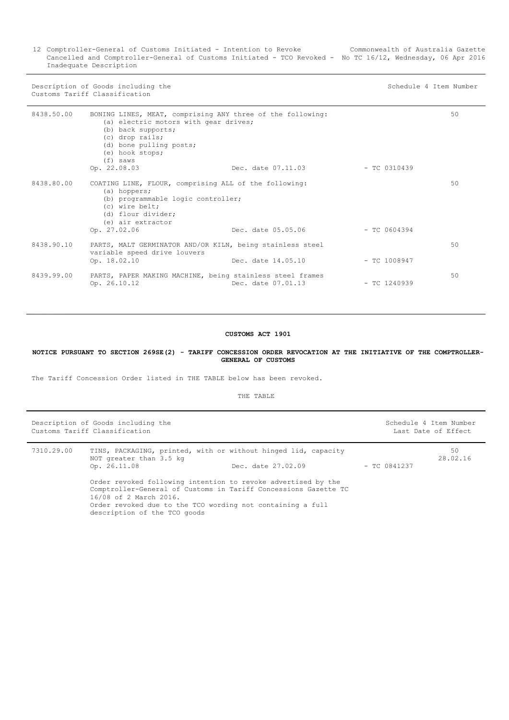12 Comptroller-General of Customs Initiated - Intention to Revoke Cancelled and Comptroller-General of Customs Initiated - TCO Revoked - No TC 16/12, Wednesday, 06 Apr 2016 Inadequate Description Commonwealth of Australia Gazette

Description of Goods including the Schedule 4 Item Number Customs Tariff Classification

| 8438.50.00 | BONING LINES, MEAT, comprising ANY three of the following:<br>(a) electric motors with gear drives;<br>(b) back supports;<br>(c) drop rails;<br>(d) bone pulling posts;<br>(e) hook stops;<br>$(f)$ saws |                    |                | 50 |
|------------|----------------------------------------------------------------------------------------------------------------------------------------------------------------------------------------------------------|--------------------|----------------|----|
|            | Op. 22.08.03                                                                                                                                                                                             | Dec. date 07.11.03 | $-TC$ 0310439  |    |
| 8438.80.00 | COATING LINE, FLOUR, comprising ALL of the following:<br>(a) hoppers;<br>(b) programmable logic controller;<br>(c) wire belt;<br>(d) flour divider;<br>(e) air extractor<br>Op. 27.02.06                 | Dec. date 05.05.06 | $-$ TC 0604394 | 50 |
| 8438.90.10 | PARTS, MALT GERMINATOR AND/OR KILN, being stainless steel<br>variable speed drive louvers<br>Op. 18.02.10                                                                                                | Dec. date 14.05.10 | $-$ TC 1008947 | 50 |
| 8439.99.00 | PARTS, PAPER MAKING MACHINE, being stainless steel frames<br>Op. 26.10.12                                                                                                                                | Dec. date 07.01.13 | $-$ TC 1240939 | 50 |

#### **CUSTOMS ACT 1901**

<span id="page-11-0"></span>**NOTICE PURSUANT TO SECTION 269SE(2) - TARIFF CONCESSION ORDER REVOCATION AT THE INITIATIVE OF THE COMPTROLLER-GENERAL OF CUSTOMS**

The Tariff Concession Order listed in THE TABLE below has been revoked.

THE TABLE

|                                                                                                                                                                                                                                                            | Description of Goods including the<br>Customs Tariff Classification                                       |                    |                | Schedule 4 Item Number<br>Last Date of Effect |
|------------------------------------------------------------------------------------------------------------------------------------------------------------------------------------------------------------------------------------------------------------|-----------------------------------------------------------------------------------------------------------|--------------------|----------------|-----------------------------------------------|
| 7310.29.00                                                                                                                                                                                                                                                 | TINS, PACKAGING, printed, with or without hinged lid, capacity<br>NOT greater than 3.5 kg<br>Op. 26.11.08 | Dec. date 27.02.09 | $-$ TC 0841237 | 50<br>28.02.16                                |
| Order revoked following intention to revoke advertised by the<br>Comptroller-General of Customs in Tariff Concessions Gazette TC<br>16/08 of 2 March 2016.<br>Order revoked due to the TCO wording not containing a full<br>descriptions of the moon could |                                                                                                           |                    |                |                                               |

description of the TCO goods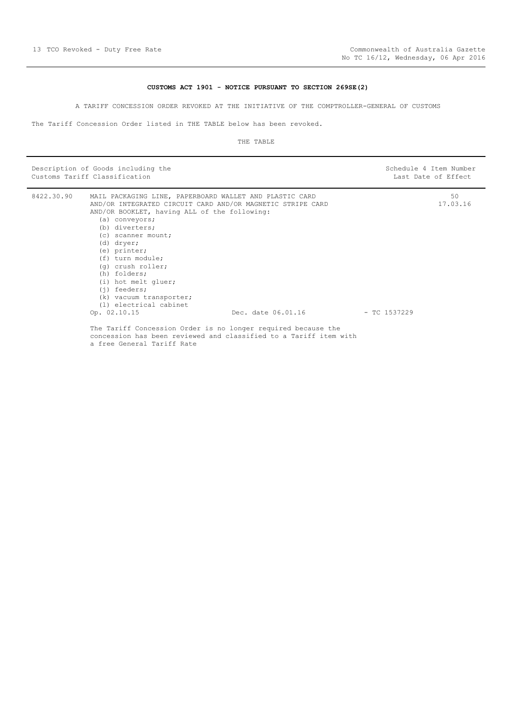#### **CUSTOMS ACT 1901 - NOTICE PURSUANT TO SECTION 269SE(2)**

A TARIFF CONCESSION ORDER REVOKED AT THE INITIATIVE OF THE COMPTROLLER-GENERAL OF CUSTOMS

<span id="page-12-0"></span>The Tariff Concession Order listed in THE TABLE below has been revoked.

#### THE TABLE

|            | Description of Goods including the<br>Customs Tariff Classification                                                                                                                                                                                                                                                                                                                                                  |                    |                | Schedule 4 Item Number<br>Last Date of Effect |
|------------|----------------------------------------------------------------------------------------------------------------------------------------------------------------------------------------------------------------------------------------------------------------------------------------------------------------------------------------------------------------------------------------------------------------------|--------------------|----------------|-----------------------------------------------|
| 8422.30.90 | MAIL PACKAGING LINE, PAPERBOARD WALLET AND PLASTIC CARD<br>AND/OR INTEGRATED CIRCUIT CARD AND/OR MAGNETIC STRIPE CARD<br>AND/OR BOOKLET, having ALL of the following:<br>(a) conveyors;<br>(b) diverters;<br>(c) scanner mount;<br>(d) dryer;<br>(e) printer;<br>(f) turn module;<br>(g) crush roller;<br>(h) folders;<br>(i) hot melt gluer;<br>$(i)$ feeders;<br>(k) vacuum transporter;<br>(1) electrical cabinet | Dec. date 06.01.16 | $-$ TC 1537229 | 50<br>17.03.16                                |
|            | Op. 02.10.15<br>The Tariff Concession Order is no longer required because the<br>concession has been reviewed and classified to a Tariff item with                                                                                                                                                                                                                                                                   |                    |                |                                               |

a free General Tariff Rate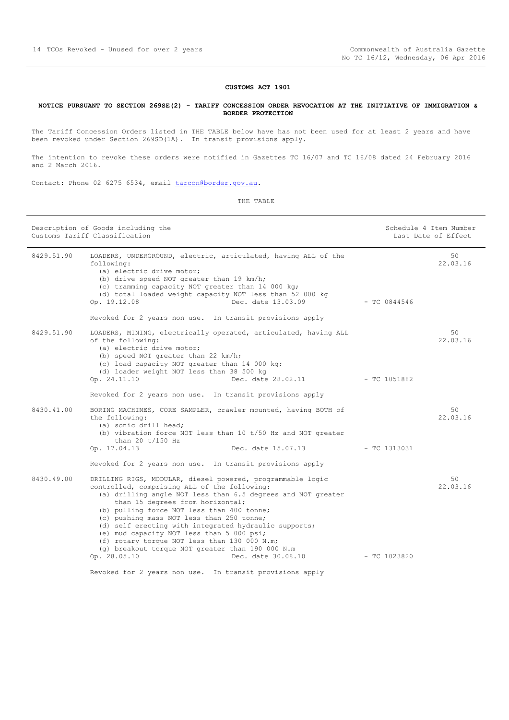#### **CUSTOMS ACT 1901**

#### <span id="page-13-0"></span>**NOTICE PURSUANT TO SECTION 269SE(2) - TARIFF CONCESSION ORDER REVOCATION AT THE INITIATIVE OF IMMIGRATION & BORDER PROTECTION**

The Tariff Concession Orders listed in THE TABLE below have has not been used for at least 2 years and have been revoked under Section 269SD(1A). In transit provisions apply.

The intention to revoke these orders were notified in Gazettes TC 16/07 and TC 16/08 dated 24 February 2016 and 2 March 2016.

Contact: Phone 02 6275 6534, email [tarcon@border.gov.au.](mailto:tarcon@border.gov.au)

|                                                                                                                                                                                                                                                                                                                                                                                                                                                                                                                                                           |                                                                                                                      | Last Date of Effect                             |
|-----------------------------------------------------------------------------------------------------------------------------------------------------------------------------------------------------------------------------------------------------------------------------------------------------------------------------------------------------------------------------------------------------------------------------------------------------------------------------------------------------------------------------------------------------------|----------------------------------------------------------------------------------------------------------------------|-------------------------------------------------|
| LOADERS, UNDERGROUND, electric, articulated, having ALL of the<br>following:<br>(a) electric drive motor;<br>(b) drive speed NOT greater than 19 km/h;<br>(c) tramming capacity NOT greater than 14 000 kg;<br>(d) total loaded weight capacity NOT less than 52 000 kg<br>Dec. date 13.03.09<br>Op. 19.12.08<br>Revoked for 2 years non use. In transit provisions apply                                                                                                                                                                                 |                                                                                                                      | 50<br>22.03.16                                  |
| LOADERS, MINING, electrically operated, articulated, having ALL<br>of the following:<br>(a) electric drive motor;<br>(b) speed NOT greater than 22 km/h;<br>(c) load capacity NOT greater than 14 000 kg;<br>(d) loader weight NOT less than 38 500 kg<br>Op. 24.11.10                                                                                                                                                                                                                                                                                    |                                                                                                                      | 50<br>22.03.16                                  |
| BORING MACHINES, CORE SAMPLER, crawler mounted, having BOTH of<br>the following:<br>(a) sonic drill head;<br>(b) vibration force NOT less than $10$ t/50 Hz and NOT greater<br>than 20 $t/150$ Hz<br>Dec. date 15.07.13<br>Op. 17.04.13<br>Revoked for 2 years non use. In transit provisions apply                                                                                                                                                                                                                                                       | $-$ TC 1313031                                                                                                       | 50<br>22.03.16                                  |
| DRILLING RIGS, MODULAR, diesel powered, programmable logic<br>controlled, comprising ALL of the following:<br>(a) drilling angle NOT less than 6.5 degrees and NOT greater<br>than 15 degrees from horizontal;<br>(b) pulling force NOT less than 400 tonne;<br>(c) pushing mass NOT less than 250 tonne;<br>(d) self erecting with integrated hydraulic supports;<br>(e) mud capacity NOT less than 5 000 psi;<br>(f) rotary torque NOT less than 130 000 N.m;<br>(q) breakout torque NOT greater than 190 000 N.m<br>Op. 28.05.10<br>Dec. date 30.08.10 | $-$ TC 1023820                                                                                                       | 50<br>22.03.16                                  |
|                                                                                                                                                                                                                                                                                                                                                                                                                                                                                                                                                           | Revoked for 2 years non use. In transit provisions apply<br>Revoked for 2 years non use. In transit provisions apply | - TC 0844546<br>Dec. date 28.02.11 - TC 1051882 |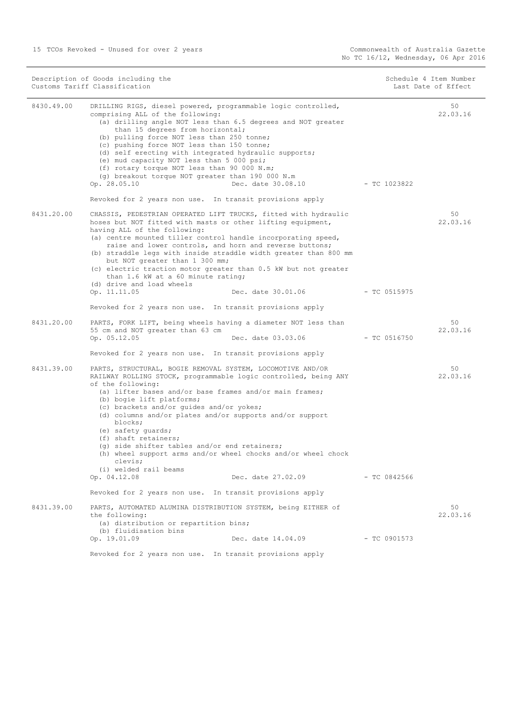| Description of Goods including the<br>Customs Tariff Classification |                                                                                                                                                                                                                                                                                                                                                                                                                                                                                                                                                                                                              |                | Schedule 4 Item Number<br>Last Date of Effect |
|---------------------------------------------------------------------|--------------------------------------------------------------------------------------------------------------------------------------------------------------------------------------------------------------------------------------------------------------------------------------------------------------------------------------------------------------------------------------------------------------------------------------------------------------------------------------------------------------------------------------------------------------------------------------------------------------|----------------|-----------------------------------------------|
| 8430.49.00                                                          | DRILLING RIGS, diesel powered, programmable logic controlled,<br>comprising ALL of the following:<br>(a) drilling angle NOT less than 6.5 degrees and NOT greater<br>than 15 degrees from horizontal;<br>(b) pulling force NOT less than 250 tonne;<br>(c) pushing force NOT less than 150 tonne;<br>(d) self erecting with integrated hydraulic supports;<br>(e) mud capacity NOT less than 5 000 psi;<br>(f) rotary torque NOT less than 90 000 N.m;<br>(g) breakout torque NOT greater than 190 000 N.m<br>Op. 28.05.10<br>Dec. date 30.08.10<br>Revoked for 2 years non use. In transit provisions apply | - TC 1023822   | 50<br>22.03.16                                |
| 8431.20.00                                                          | CHASSIS, PEDESTRIAN OPERATED LIFT TRUCKS, fitted with hydraulic<br>hoses but NOT fitted with masts or other lifting equipment,<br>having ALL of the following:<br>(a) centre mounted tiller control handle incorporating speed,<br>raise and lower controls, and horn and reverse buttons;<br>(b) straddle legs with inside straddle width greater than 800 mm<br>but NOT greater than 1 300 mm;<br>(c) electric traction motor greater than 0.5 kW but not greater<br>than 1.6 kW at a 60 minute rating;<br>(d) drive and load wheels                                                                       |                | 50<br>22.03.16                                |
|                                                                     | Op. 11.11.05<br>Dec. date 30.01.06<br>Revoked for 2 years non use. In transit provisions apply                                                                                                                                                                                                                                                                                                                                                                                                                                                                                                               | - TC 0515975   |                                               |
| 8431.20.00                                                          | PARTS, FORK LIFT, being wheels having a diameter NOT less than<br>55 cm and NOT greater than 63 cm<br>Op. 05.12.05<br>Dec. date 03.03.06<br>Revoked for 2 years non use. In transit provisions apply                                                                                                                                                                                                                                                                                                                                                                                                         | - TC 0516750   | 50<br>22.03.16                                |
| 8431.39.00                                                          | PARTS, STRUCTURAL, BOGIE REMOVAL SYSTEM, LOCOMOTIVE AND/OR<br>RAILWAY ROLLING STOCK, programmable logic controlled, being ANY<br>of the following:<br>(a) lifter bases and/or base frames and/or main frames;<br>(b) bogie lift platforms;<br>(c) brackets and/or quides and/or yokes;<br>(d) columns and/or plates and/or supports and/or support<br>blocks;<br>(e) safety quards;<br>(f) shaft retainers;<br>(q) side shifter tables and/or end retainers;<br>(h) wheel support arms and/or wheel chocks and/or wheel chock<br>clevis;<br>(i) welded rail beams                                            |                | 50<br>22.03.16                                |
|                                                                     | Op. 04.12.08<br>Dec. date 27.02.09<br>Revoked for 2 years non use. In transit provisions apply                                                                                                                                                                                                                                                                                                                                                                                                                                                                                                               | - TC 0842566   |                                               |
| 8431.39.00                                                          | PARTS, AUTOMATED ALUMINA DISTRIBUTION SYSTEM, being EITHER of<br>the following:<br>(a) distribution or repartition bins;<br>(b) fluidisation bins                                                                                                                                                                                                                                                                                                                                                                                                                                                            |                | 50<br>22.03.16                                |
|                                                                     | Op. 19.01.09<br>Dec. date 14.04.09                                                                                                                                                                                                                                                                                                                                                                                                                                                                                                                                                                           | $-$ TC 0901573 |                                               |
|                                                                     | Revoked for 2 years non use. In transit provisions apply                                                                                                                                                                                                                                                                                                                                                                                                                                                                                                                                                     |                |                                               |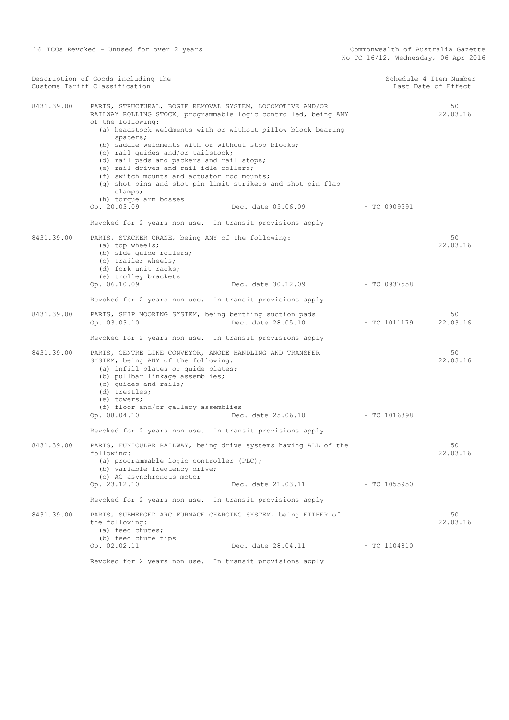|            | Description of Goods including the<br>Customs Tariff Classification                                                                                                                                                                                                                                                                                                                                                                                                                                                                                                                                    |                                 | Schedule 4 Item Number<br>Last Date of Effect |
|------------|--------------------------------------------------------------------------------------------------------------------------------------------------------------------------------------------------------------------------------------------------------------------------------------------------------------------------------------------------------------------------------------------------------------------------------------------------------------------------------------------------------------------------------------------------------------------------------------------------------|---------------------------------|-----------------------------------------------|
| 8431.39.00 | PARTS, STRUCTURAL, BOGIE REMOVAL SYSTEM, LOCOMOTIVE AND/OR<br>RAILWAY ROLLING STOCK, programmable logic controlled, being ANY<br>of the following:<br>(a) headstock weldments with or without pillow block bearing<br>spacers;<br>(b) saddle weldments with or without stop blocks;<br>(c) rail quides and/or tailstock;<br>(d) rail pads and packers and rail stops;<br>(e) rail drives and rail idle rollers;<br>(f) switch mounts and actuator rod mounts;<br>(g) shot pins and shot pin limit strikers and shot pin flap<br>clamps;<br>(h) torque arm bosses<br>Op. 20.03.09<br>Dec. date 05.06.09 |                                 | 50<br>22.03.16<br>- TC 0909591                |
|            | Revoked for 2 years non use. In transit provisions apply                                                                                                                                                                                                                                                                                                                                                                                                                                                                                                                                               |                                 |                                               |
| 8431.39.00 | PARTS, STACKER CRANE, being ANY of the following:<br>(a) top wheels;<br>(b) side quide rollers;<br>(c) trailer wheels;<br>(d) fork unit racks;<br>(e) trolley brackets<br>Op. 06.10.09                                                                                                                                                                                                                                                                                                                                                                                                                 | Dec. date 30.12.09              | 50<br>22.03.16<br>- TC 0937558                |
|            | Revoked for 2 years non use. In transit provisions apply                                                                                                                                                                                                                                                                                                                                                                                                                                                                                                                                               |                                 |                                               |
| 8431.39.00 | PARTS, SHIP MOORING SYSTEM, being berthing suction pads<br>Op. 03.03.10<br>Dec. date 28.05.10                                                                                                                                                                                                                                                                                                                                                                                                                                                                                                          |                                 | 50<br>$-$ TC 1011179<br>22.03.16              |
|            | Revoked for 2 years non use. In transit provisions apply                                                                                                                                                                                                                                                                                                                                                                                                                                                                                                                                               |                                 |                                               |
| 8431.39.00 | PARTS, CENTRE LINE CONVEYOR, ANODE HANDLING AND TRANSFER<br>SYSTEM, being ANY of the following:<br>(a) infill plates or quide plates;<br>(b) pullbar linkage assemblies;<br>(c) quides and rails;<br>(d) trestles;<br>(e) towers;<br>(f) floor and/or gallery assemblies<br>Op. 08.04.10                                                                                                                                                                                                                                                                                                               | Dec. date 25.06.10 - TC 1016398 | 50<br>22.03.16                                |
|            | Revoked for 2 years non use. In transit provisions apply                                                                                                                                                                                                                                                                                                                                                                                                                                                                                                                                               |                                 |                                               |
| 8431.39.00 | PARTS, FUNICULAR RAILWAY, being drive systems having ALL of the<br>following:<br>(a) programmable logic controller (PLC);<br>(b) variable frequency drive;<br>(c) AC asynchronous motor                                                                                                                                                                                                                                                                                                                                                                                                                |                                 | 50<br>22.03.16                                |
|            | Op. 23.12.10                                                                                                                                                                                                                                                                                                                                                                                                                                                                                                                                                                                           | Dec. date 21.03.11              | - TC 1055950                                  |
|            | Revoked for 2 years non use. In transit provisions apply                                                                                                                                                                                                                                                                                                                                                                                                                                                                                                                                               |                                 |                                               |
| 8431.39.00 | PARTS, SUBMERGED ARC FURNACE CHARGING SYSTEM, being EITHER of<br>the following:<br>(a) feed chutes;<br>(b) feed chute tips                                                                                                                                                                                                                                                                                                                                                                                                                                                                             |                                 | 50<br>22.03.16                                |
|            | Op. 02.02.11                                                                                                                                                                                                                                                                                                                                                                                                                                                                                                                                                                                           | Dec. date 28.04.11              | $-$ TC 1104810                                |
|            | Revoked for 2 years non use. In transit provisions apply                                                                                                                                                                                                                                                                                                                                                                                                                                                                                                                                               |                                 |                                               |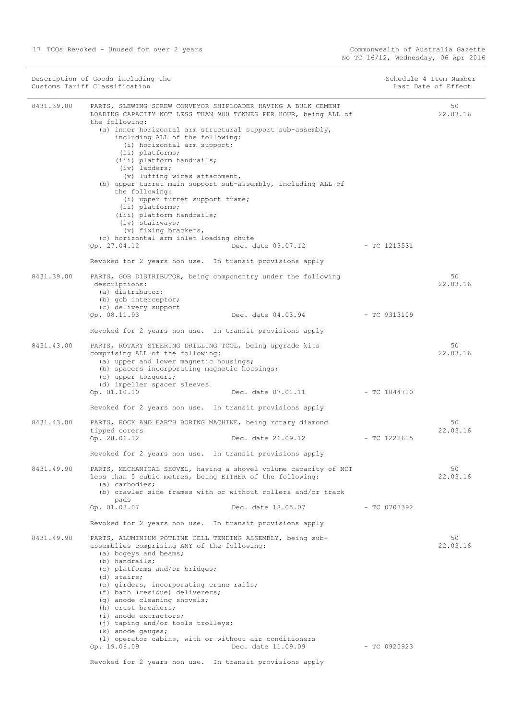$\overline{\phantom{a}}$ 

|              | Description of Goods including the<br>Customs Tariff Classification                                                                                                                                                                                                                                                                                                                                                                                                                                                                                                                                                                            |                                 | Schedule 4 Item Number<br>Last Date of Effect |  |
|--------------|------------------------------------------------------------------------------------------------------------------------------------------------------------------------------------------------------------------------------------------------------------------------------------------------------------------------------------------------------------------------------------------------------------------------------------------------------------------------------------------------------------------------------------------------------------------------------------------------------------------------------------------------|---------------------------------|-----------------------------------------------|--|
| 8431.39.00   | PARTS, SLEWING SCREW CONVEYOR SHIPLOADER HAVING A BULK CEMENT<br>LOADING CAPACITY NOT LESS THAN 900 TONNES PER HOUR, being ALL of<br>the following:<br>(a) inner horizontal arm structural support sub-assembly,<br>including ALL of the following:<br>(i) horizontal arm support;<br>(ii) platforms;<br>(iii) platform handrails;<br>(iv) ladders;<br>(v) luffing wires attachment,<br>(b) upper turret main support sub-assembly, including ALL of<br>the following:<br>(i) upper turret support frame;<br>(ii) platforms;<br>(iii) platform handrails;<br>(iv) stairways;<br>(v) fixing brackets,<br>(c) horizontal arm inlet loading chute |                                 | 50<br>22.03.16                                |  |
|              | Op. 27.04.12                                                                                                                                                                                                                                                                                                                                                                                                                                                                                                                                                                                                                                   | Dec. date 09.07.12 - TC 1213531 |                                               |  |
| 8431, 39, 00 | Revoked for 2 years non use. In transit provisions apply<br>PARTS, GOB DISTRIBUTOR, being componentry under the following<br>descriptions:<br>(a) distributor;<br>(b) gob interceptor;<br>(c) delivery support<br>Op. 08.11.93<br>Dec. date 04.03.94                                                                                                                                                                                                                                                                                                                                                                                           | $-$ TC 9313109                  | 50<br>22.03.16                                |  |
|              | Revoked for 2 years non use. In transit provisions apply                                                                                                                                                                                                                                                                                                                                                                                                                                                                                                                                                                                       |                                 |                                               |  |
| 8431.43.00   | PARTS, ROTARY STEERING DRILLING TOOL, being upgrade kits<br>comprising ALL of the following:<br>(a) upper and lower magnetic housings;<br>(b) spacers incorporating magnetic housings;<br>(c) upper torquers;<br>(d) impeller spacer sleeves                                                                                                                                                                                                                                                                                                                                                                                                   |                                 | 50<br>22.03.16                                |  |
|              | Op. 01.10.10<br>Dec. date 07.01.11<br>Revoked for 2 years non use. In transit provisions apply                                                                                                                                                                                                                                                                                                                                                                                                                                                                                                                                                 | $-$ TC 1044710                  |                                               |  |
| 8431.43.00   | PARTS, ROCK AND EARTH BORING MACHINE, being rotary diamond<br>tipped corers<br>Dec. date 26.09.12<br>Op. 28.06.12                                                                                                                                                                                                                                                                                                                                                                                                                                                                                                                              | - TC 1222615                    | 50<br>22.03.16                                |  |
|              | Revoked for 2 years non use. In transit provisions apply                                                                                                                                                                                                                                                                                                                                                                                                                                                                                                                                                                                       |                                 |                                               |  |
| 8431.49.90   | PARTS, MECHANICAL SHOVEL, having a shovel volume capacity of NOT<br>less than 5 cubic metres, being EITHER of the following:<br>$(a)$ carbodies;<br>(b) crawler side frames with or without rollers and/or track<br>pads<br>Dec. date 18.05.07<br>Op. 01.03.07                                                                                                                                                                                                                                                                                                                                                                                 | $-$ TC 0703392                  | 50<br>22.03.16                                |  |
|              | Revoked for 2 years non use. In transit provisions apply                                                                                                                                                                                                                                                                                                                                                                                                                                                                                                                                                                                       |                                 |                                               |  |
| 8431.49.90   | PARTS, ALUMINIUM POTLINE CELL TENDING ASSEMBLY, being sub-<br>assemblies comprising ANY of the following:<br>(a) bogeys and beams;<br>(b) handrails;<br>(c) platforms and/or bridges;<br>(d) stairs;<br>(e) girders, incorporating crane rails;<br>(f) bath (residue) deliverers;<br>(g) anode cleaning shovels;<br>(h) crust breakers;<br>(i) anode extractors;<br>(j) taping and/or tools trolleys;<br>(k) anode gauges;                                                                                                                                                                                                                     |                                 | 50<br>22.03.16                                |  |
|              | (1) operator cabins, with or without air conditioners<br>Op. 19.06.09<br>Dec. date 11.09.09                                                                                                                                                                                                                                                                                                                                                                                                                                                                                                                                                    | $-$ TC 0920923                  |                                               |  |

Revoked for 2 years non use. In transit provisions apply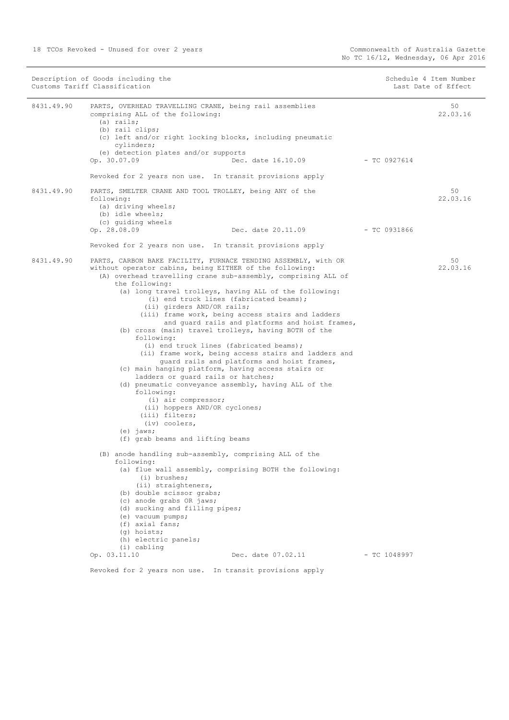| Description of Goods including the<br>Customs Tariff Classification |                                                                                                                                                                                                                                                                                                                                                                                                                                                                                                                                                                                                                                                                                                                                                                                                                                                                                                                                                                                                 | Schedule 4 Item Number<br>Last Date of Effect |                |
|---------------------------------------------------------------------|-------------------------------------------------------------------------------------------------------------------------------------------------------------------------------------------------------------------------------------------------------------------------------------------------------------------------------------------------------------------------------------------------------------------------------------------------------------------------------------------------------------------------------------------------------------------------------------------------------------------------------------------------------------------------------------------------------------------------------------------------------------------------------------------------------------------------------------------------------------------------------------------------------------------------------------------------------------------------------------------------|-----------------------------------------------|----------------|
| 8431.49.90                                                          | PARTS, OVERHEAD TRAVELLING CRANE, being rail assemblies<br>comprising ALL of the following:<br>$(a)$ rails;<br>(b) rail clips;<br>(c) left and/or right locking blocks, including pneumatic<br>cylinders;<br>(e) detection plates and/or supports                                                                                                                                                                                                                                                                                                                                                                                                                                                                                                                                                                                                                                                                                                                                               |                                               | 50<br>22.03.16 |
|                                                                     | Dec. date 16.10.09<br>Op. 30.07.09<br>Revoked for 2 years non use. In transit provisions apply                                                                                                                                                                                                                                                                                                                                                                                                                                                                                                                                                                                                                                                                                                                                                                                                                                                                                                  | - TC 0927614                                  |                |
| 8431.49.90                                                          | PARTS, SMELTER CRANE AND TOOL TROLLEY, being ANY of the<br>following:<br>(a) driving wheels;<br>(b) idle wheels;<br>(c) quiding wheels                                                                                                                                                                                                                                                                                                                                                                                                                                                                                                                                                                                                                                                                                                                                                                                                                                                          |                                               | 50<br>22.03.16 |
|                                                                     | Op. 28.08.09<br>Dec. date 20.11.09 - TC 0931866                                                                                                                                                                                                                                                                                                                                                                                                                                                                                                                                                                                                                                                                                                                                                                                                                                                                                                                                                 |                                               |                |
|                                                                     | Revoked for 2 years non use. In transit provisions apply                                                                                                                                                                                                                                                                                                                                                                                                                                                                                                                                                                                                                                                                                                                                                                                                                                                                                                                                        |                                               |                |
| 8431.49.90                                                          | PARTS, CARBON BAKE FACILITY, FURNACE TENDING ASSEMBLY, with OR<br>without operator cabins, being EITHER of the following:<br>(A) overhead travelling crane sub-assembly, comprising ALL of<br>the following:<br>(a) long travel trolleys, having ALL of the following:<br>(i) end truck lines (fabricated beams);<br>(ii) girders AND/OR rails;<br>(iii) frame work, being access stairs and ladders<br>and quard rails and platforms and hoist frames,<br>(b) cross (main) travel trolleys, having BOTH of the<br>following:<br>(i) end truck lines (fabricated beams);<br>(ii) frame work, being access stairs and ladders and<br>quard rails and platforms and hoist frames,<br>(c) main hanging platform, having access stairs or<br>ladders or quard rails or hatches;<br>(d) pneumatic conveyance assembly, having ALL of the<br>following:<br>(i) air compressor;<br>(ii) hoppers AND/OR cyclones;<br>(iii) filters;<br>(iv) coolers,<br>$(e)$ jaws;<br>(f) grab beams and lifting beams |                                               | 50<br>22.03.16 |
|                                                                     | (B) anode handling sub-assembly, comprising ALL of the<br>following:<br>(a) flue wall assembly, comprising BOTH the following:<br>(i) brushes;<br>(ii) straighteners,<br>(b) double scissor grabs;<br>(c) anode grabs OR jaws;<br>(d) sucking and filling pipes;<br>(e) vacuum pumps;<br>(f) axial fans;<br>(g) hoists;<br>(h) electric panels;                                                                                                                                                                                                                                                                                                                                                                                                                                                                                                                                                                                                                                                 |                                               |                |
|                                                                     | (i) cabling<br>Op. 03.11.10<br>Dec. date 07.02.11                                                                                                                                                                                                                                                                                                                                                                                                                                                                                                                                                                                                                                                                                                                                                                                                                                                                                                                                               | - TC 1048997                                  |                |
|                                                                     | Revoked for 2 years non use. In transit provisions apply                                                                                                                                                                                                                                                                                                                                                                                                                                                                                                                                                                                                                                                                                                                                                                                                                                                                                                                                        |                                               |                |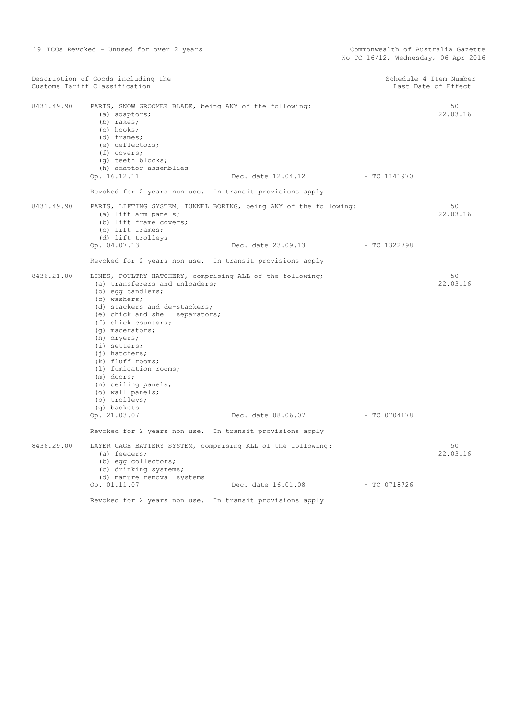| Description of Goods including the<br>Customs Tariff Classification |                                                                                                                                                                                                                                                                                                                                                                                                                                                            |                                                                   | Schedule 4 Item Number<br>Last Date of Effect |                |
|---------------------------------------------------------------------|------------------------------------------------------------------------------------------------------------------------------------------------------------------------------------------------------------------------------------------------------------------------------------------------------------------------------------------------------------------------------------------------------------------------------------------------------------|-------------------------------------------------------------------|-----------------------------------------------|----------------|
| 8431.49.90                                                          | PARTS, SNOW GROOMER BLADE, being ANY of the following:<br>(a) adaptors;<br>(b) rakes;<br>(c) hooks;<br>$(d)$ frames;<br>(e) deflectors;<br>$(f)$ covers;<br>(q) teeth blocks;<br>(h) adaptor assemblies                                                                                                                                                                                                                                                    |                                                                   |                                               | 50<br>22.03.16 |
|                                                                     | Op. 16.12.11                                                                                                                                                                                                                                                                                                                                                                                                                                               | Dec. date 12.04.12                                                | - TC 1141970                                  |                |
|                                                                     | Revoked for 2 years non use. In transit provisions apply                                                                                                                                                                                                                                                                                                                                                                                                   |                                                                   |                                               |                |
| 8431.49.90                                                          | (a) lift arm panels;<br>(b) lift frame covers;<br>(c) lift frames;<br>(d) lift trolleys                                                                                                                                                                                                                                                                                                                                                                    | PARTS, LIFTING SYSTEM, TUNNEL BORING, being ANY of the following: |                                               | 50<br>22.03.16 |
|                                                                     | Op. 04.07.13                                                                                                                                                                                                                                                                                                                                                                                                                                               | Dec. date 23.09.13                                                | - TC 1322798                                  |                |
|                                                                     | Revoked for 2 years non use. In transit provisions apply                                                                                                                                                                                                                                                                                                                                                                                                   |                                                                   |                                               |                |
| 8436.21.00                                                          | LINES, POULTRY HATCHERY, comprising ALL of the following;<br>(a) transferers and unloaders;<br>(b) eqq candlers;<br>(c) washers;<br>(d) stackers and de-stackers;<br>(e) chick and shell separators;<br>(f) chick counters;<br>(q) macerators;<br>(h) dryers;<br>$(i)$ setters;<br>$(i)$ hatchers;<br>(k) fluff rooms;<br>(1) fumigation rooms;<br>$(m)$ doors;<br>(n) ceiling panels;<br>(o) wall panels;<br>(p) trolleys;<br>(q) baskets<br>Op. 21.03.07 | Dec. date 08.06.07 - TC 0704178                                   |                                               | 50<br>22.03.16 |
|                                                                     | Revoked for 2 years non use. In transit provisions apply                                                                                                                                                                                                                                                                                                                                                                                                   |                                                                   |                                               |                |
| 8436.29.00                                                          | LAYER CAGE BATTERY SYSTEM, comprising ALL of the following:<br>(a) feeders;<br>(b) eqq collectors;<br>(c) drinking systems;<br>(d) manure removal systems                                                                                                                                                                                                                                                                                                  |                                                                   |                                               | 50<br>22.03.16 |
|                                                                     | Op. 01.11.07                                                                                                                                                                                                                                                                                                                                                                                                                                               | Dec. date 16.01.08                                                | $-$ TC 0718726                                |                |
|                                                                     | Revoked for 2 years non use. In transit provisions apply                                                                                                                                                                                                                                                                                                                                                                                                   |                                                                   |                                               |                |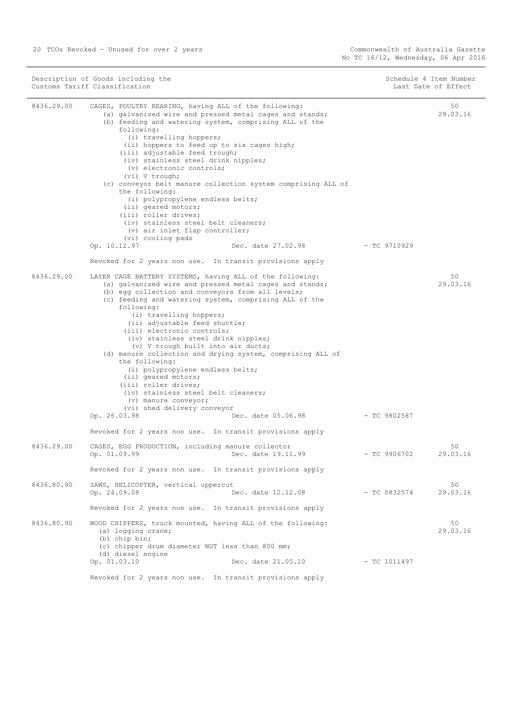50

Description of Goods including the Schedule 4 Item Number<br>
Customs Tariff Classification<br>
Schedule 4 Item Number<br>
Schedule 4 Item Number Customs Tariff Classification 8436.29.00 CAGES, POULTRY REARING, having ALL of the following: (a) galvanised wire and pressed metal cages and stands; (b) feeding and watering system, comprising ALL of the following: (i) travelling hoppers; (ii) hoppers to feed up to six cages high; (iii) adjustable feed trough; (iv) stainless steel drink nipples; (v) electronic controls; (vi) V trough; (c) conveyor belt manure collection system comprising ALL of the following: (i) polypropylene endless belts; (ii) geared motors; (iii) roller drives; (iv) stainless steel belt cleaners; (v) air inlet flap controller; (vi) cooling pads Op. 10.12.97 Dec. date 27.02.98 - TC 9710929 Revoked for 2 years non use. In transit provisions apply 50 29.03.16 8436.29.00 LAYER CAGE BATTERY SYSTEMS, having ALL of the following: (a) galvanised wire and pressed metal cages and stands; (b) egg collection and conveyors from all levels; (c) feeding and watering system, comprising ALL of the following: (i) travelling hoppers; 50 29.03.16

- (ii) adjustable feed shuttle;
- (iii) electronic controls;
- (iv) stainless steel drink nipples;
- (v) V trough built into air ducts;
- (d) manure collection and drying system, comprising ALL of
	- the following:
		- (i) polypropylene endless belts;
		- (ii) geared motors;
		- (iii) roller drives;
	- (iv) stainless steel belt cleaners;
	- (v) manure conveyor; (vi) shed delivery conveyor
- Op. 26.03.98 Dec. date 05.06.98 TC 9802587 Revoked for 2 years non use. In transit provisions apply 8436.29.00 CAGES, EGG PRODUCTION, including manure collector Op. 01.09.99 Dec. date 19.11.99 - TC 9906702 Revoked for 2 years non use. In transit provisions apply 29.03.16
- 8436.80.90 SAWS, HELICOPTER, vertical uppercut<br>Op. 24.09.08 Dec. date 12.12.08 - TC 0832574 Revoked for 2 years non use. In transit provisions apply 50 29.03.16 8436.80.90 WOOD CHIPPERS, truck mounted, having ALL of the following: (a) logging crane; (b) chip bin; (c) chipper drum diameter NOT less than 800 mm; (d) diesel engine Op. 01.03.10 Dec. date 21.05.10 - TC 1011497 50 29.03.16

Revoked for 2 years non use. In transit provisions apply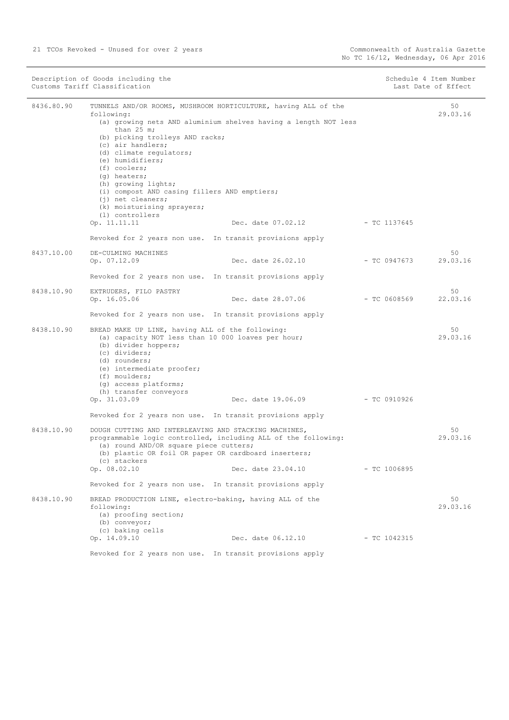|            | Description of Goods including the<br>Customs Tariff Classification                                                                                                                                                                                                                                                                                                                                  |                                                                                       |                | Schedule 4 Item Number<br>Last Date of Effect |
|------------|------------------------------------------------------------------------------------------------------------------------------------------------------------------------------------------------------------------------------------------------------------------------------------------------------------------------------------------------------------------------------------------------------|---------------------------------------------------------------------------------------|----------------|-----------------------------------------------|
| 8436.80.90 | TUNNELS AND/OR ROOMS, MUSHROOM HORTICULTURE, having ALL of the<br>following:<br>than $25$ m;<br>(b) picking trolleys AND racks;<br>(c) air handlers;<br>(d) climate regulators;<br>(e) humidifiers;<br>$(f)$ coolers;<br>(q) heaters;<br>(h) growing lights;<br>(i) compost AND casing fillers AND emptiers;<br>$(j)$ net cleaners;<br>(k) moisturising sprayers;<br>(1) controllers<br>Op. 11.11.11 | (a) growing nets AND aluminium shelves having a length NOT less<br>Dec. date 07.02.12 | $-$ TC 1137645 | 50<br>29.03.16                                |
|            | Revoked for 2 years non use. In transit provisions apply                                                                                                                                                                                                                                                                                                                                             |                                                                                       |                |                                               |
| 8437.10.00 | DE-CULMING MACHINES<br>Op. 07.12.09                                                                                                                                                                                                                                                                                                                                                                  | Dec. date 26.02.10                                                                    | - TC 0947673   | 50<br>29.03.16                                |
|            | Revoked for 2 years non use. In transit provisions apply                                                                                                                                                                                                                                                                                                                                             |                                                                                       |                |                                               |
| 8438.10.90 | EXTRUDERS, FILO PASTRY<br>Op. 16.05.06                                                                                                                                                                                                                                                                                                                                                               | Dec. date 28.07.06                                                                    | $-$ TC 0608569 | 50<br>22.03.16                                |
|            | Revoked for 2 years non use. In transit provisions apply                                                                                                                                                                                                                                                                                                                                             |                                                                                       |                |                                               |
| 8438.10.90 | BREAD MAKE UP LINE, having ALL of the following:<br>(a) capacity NOT less than 10 000 loaves per hour;<br>(b) divider hoppers;<br>(c) dividers;<br>(d) rounders;<br>(e) intermediate proofer;<br>(f) moulders;<br>(g) access platforms;<br>(h) transfer conveyors<br>Op. 31.03.09                                                                                                                    | Dec. date 19.06.09                                                                    | $-$ TC 0910926 | 50<br>29.03.16                                |
|            | Revoked for 2 years non use. In transit provisions apply                                                                                                                                                                                                                                                                                                                                             |                                                                                       |                |                                               |
| 8438.10.90 | DOUGH CUTTING AND INTERLEAVING AND STACKING MACHINES,<br>programmable logic controlled, including ALL of the following:<br>(a) round AND/OR square piece cutters;<br>(b) plastic OR foil OR paper OR cardboard inserters;<br>(c) stackers<br>Op. 08.02.10                                                                                                                                            | Dec. date 23.04.10                                                                    | $-$ TC 1006895 | 50<br>29.03.16                                |
|            |                                                                                                                                                                                                                                                                                                                                                                                                      |                                                                                       |                |                                               |
|            | Revoked for 2 years non use. In transit provisions apply                                                                                                                                                                                                                                                                                                                                             |                                                                                       |                |                                               |
| 8438.10.90 | BREAD PRODUCTION LINE, electro-baking, having ALL of the<br>following:<br>(a) proofing section;<br>(b) conveyor;<br>(c) baking cells                                                                                                                                                                                                                                                                 |                                                                                       |                | 50<br>29.03.16                                |
|            | Op. 14.09.10                                                                                                                                                                                                                                                                                                                                                                                         | Dec. date 06.12.10                                                                    | - TC 1042315   |                                               |
|            | Revoked for 2 years non use. In transit provisions apply                                                                                                                                                                                                                                                                                                                                             |                                                                                       |                |                                               |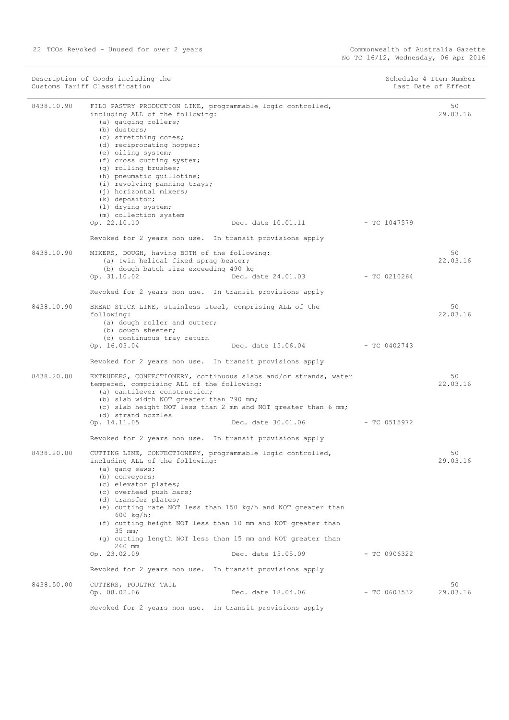| Description of Goods including the<br>Customs Tariff Classification |                                                                                                                                                                                                                                                                                                                                                                                                                                                 | Schedule 4 Item Number<br>Last Date of Effect |                |                |
|---------------------------------------------------------------------|-------------------------------------------------------------------------------------------------------------------------------------------------------------------------------------------------------------------------------------------------------------------------------------------------------------------------------------------------------------------------------------------------------------------------------------------------|-----------------------------------------------|----------------|----------------|
| 8438.10.90                                                          | FILO PASTRY PRODUCTION LINE, programmable logic controlled,<br>including ALL of the following:<br>(a) gauging rollers;<br>(b) dusters;<br>(c) stretching cones;<br>(d) reciprocating hopper;<br>(e) oiling system;<br>(f) cross cutting system;<br>(g) rolling brushes;<br>(h) pneumatic quillotine;<br>(i) revolving panning trays;<br>(j) horizontal mixers;<br>(k) depositor;<br>(1) drying system;<br>(m) collection system<br>Op. 22.10.10 | Dec. date 10.01.11                            | - TC 1047579   | 50<br>29.03.16 |
|                                                                     | Revoked for 2 years non use. In transit provisions apply                                                                                                                                                                                                                                                                                                                                                                                        |                                               |                |                |
| 8438.10.90                                                          | MIXERS, DOUGH, having BOTH of the following:<br>(a) twin helical fixed sprag beater;<br>(b) dough batch size exceeding 490 kg<br>Op. 31.10.02                                                                                                                                                                                                                                                                                                   | Dec. date 24.01.03                            | $-$ TC 0210264 | 50<br>22.03.16 |
|                                                                     | Revoked for 2 years non use. In transit provisions apply                                                                                                                                                                                                                                                                                                                                                                                        |                                               |                |                |
| 8438.10.90                                                          | BREAD STICK LINE, stainless steel, comprising ALL of the<br>following:<br>(a) dough roller and cutter;<br>(b) dough sheeter;<br>(c) continuous tray return<br>Op. 16.03.04                                                                                                                                                                                                                                                                      | Dec. date 15.06.04                            | $-$ TC 0402743 | 50<br>22.03.16 |
|                                                                     | Revoked for 2 years non use. In transit provisions apply                                                                                                                                                                                                                                                                                                                                                                                        |                                               |                |                |
| 8438.20.00                                                          | EXTRUDERS, CONFECTIONERY, continuous slabs and/or strands, water<br>tempered, comprising ALL of the following:<br>(a) cantilever construction;<br>(b) slab width NOT greater than 790 mm;<br>(c) slab height NOT less than 2 mm and NOT greater than 6 mm;<br>(d) strand nozzles<br>Op. 14.11.05                                                                                                                                                | Dec. date 30.01.06                            | - TC 0515972   | 50<br>22.03.16 |
|                                                                     | Revoked for 2 years non use. In transit provisions apply                                                                                                                                                                                                                                                                                                                                                                                        |                                               |                |                |
| 8438.20.00                                                          | CUTTING LINE, CONFECTIONERY, programmable logic controlled,<br>including ALL of the following:<br>(a) gang saws;<br>(b) conveyors;<br>(c) elevator plates;<br>(c) overhead push bars;<br>(d) transfer plates;<br>(e) cutting rate NOT less than 150 kg/h and NOT greater than<br>600 $kg/h;$<br>(f) cutting height NOT less than 10 mm and NOT greater than                                                                                     |                                               |                | 50<br>29.03.16 |
|                                                                     | $35$ mm;                                                                                                                                                                                                                                                                                                                                                                                                                                        |                                               |                |                |
|                                                                     | (g) cutting length NOT less than 15 mm and NOT greater than<br>260 mm<br>Op. 23.02.09                                                                                                                                                                                                                                                                                                                                                           | Dec. date 15.05.09                            | - TC 0906322   |                |
|                                                                     | Revoked for 2 years non use. In transit provisions apply                                                                                                                                                                                                                                                                                                                                                                                        |                                               |                |                |
| 8438.50.00                                                          | CUTTERS, POULTRY TAIL<br>Op. 08.02.06                                                                                                                                                                                                                                                                                                                                                                                                           | Dec. date 18.04.06                            | $-$ TC 0603532 | 50<br>29.03.16 |
|                                                                     | Revoked for 2 years non use. In transit provisions apply                                                                                                                                                                                                                                                                                                                                                                                        |                                               |                |                |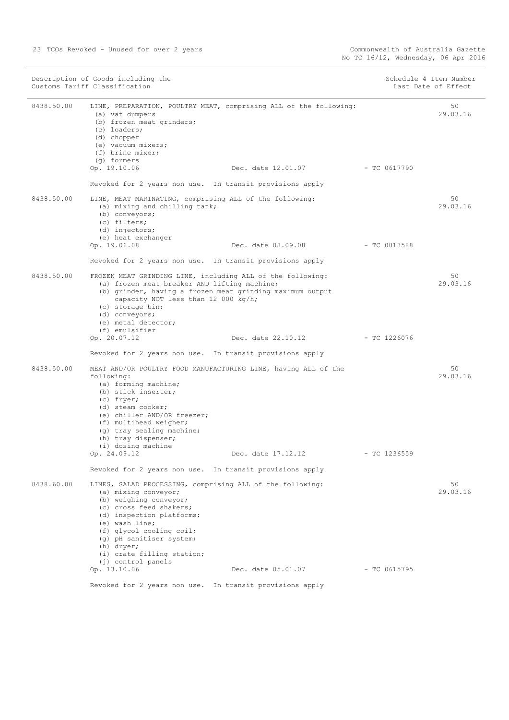|            | Description of Goods including the<br>Customs Tariff Classification                                                                                                                                                                                                                                             |                                                                                                      |                | Schedule 4 Item Number<br>Last Date of Effect |
|------------|-----------------------------------------------------------------------------------------------------------------------------------------------------------------------------------------------------------------------------------------------------------------------------------------------------------------|------------------------------------------------------------------------------------------------------|----------------|-----------------------------------------------|
| 8438.50.00 | (a) vat dumpers<br>(b) frozen meat grinders;<br>(c) loaders;<br>(d) chopper<br>(e) vacuum mixers;<br>(f) brine mixer;<br>(q) formers<br>Op. 19.10.06                                                                                                                                                            | LINE, PREPARATION, POULTRY MEAT, comprising ALL of the following:<br>Dec. date 12.01.07 - TC 0617790 |                | 50<br>29.03.16                                |
|            | Revoked for 2 years non use. In transit provisions apply                                                                                                                                                                                                                                                        |                                                                                                      |                |                                               |
| 8438.50.00 | LINE, MEAT MARINATING, comprising ALL of the following:<br>(a) mixing and chilling tank;<br>(b) conveyors;<br>(c) filters;<br>(d) injectors;<br>(e) heat exchanger<br>Op. 19.06.08                                                                                                                              | Dec. date 08.09.08                                                                                   | $-$ TC 0813588 | 50<br>29.03.16                                |
|            | Revoked for 2 years non use. In transit provisions apply                                                                                                                                                                                                                                                        |                                                                                                      |                |                                               |
| 8438.50.00 | FROZEN MEAT GRINDING LINE, including ALL of the following:<br>(a) frozen meat breaker AND lifting machine;<br>(b) grinder, having a frozen meat grinding maximum output<br>capacity NOT less than 12 000 kg/h;<br>(c) storage bin;<br>(d) conveyors;<br>(e) metal detector;                                     |                                                                                                      |                | 50<br>29.03.16                                |
|            | (f) emulsifier<br>Op. 20.07.12                                                                                                                                                                                                                                                                                  | Dec. date 22.10.12                                                                                   | $-$ TC 1226076 |                                               |
|            | Revoked for 2 years non use. In transit provisions apply                                                                                                                                                                                                                                                        |                                                                                                      |                |                                               |
| 8438.50.00 | MEAT AND/OR POULTRY FOOD MANUFACTURING LINE, having ALL of the<br>following:<br>(a) forming machine;<br>(b) stick inserter;<br>(c) fryer;<br>(d) steam cooker;<br>(e) chiller AND/OR freezer;<br>(f) multihead weigher;<br>(g) tray sealing machine;<br>(h) tray dispenser;<br>(i) dosing machine               |                                                                                                      |                | 50<br>29.03.16                                |
|            | Op. 24.09.12                                                                                                                                                                                                                                                                                                    | Dec. date 17.12.12                                                                                   | $-$ TC 1236559 |                                               |
|            | Revoked for 2 years non use. In transit provisions apply                                                                                                                                                                                                                                                        |                                                                                                      |                |                                               |
| 8438.60.00 | LINES, SALAD PROCESSING, comprising ALL of the following:<br>(a) mixing conveyor;<br>(b) weighing conveyor;<br>(c) cross feed shakers;<br>(d) inspection platforms;<br>(e) wash line;<br>(f) glycol cooling coil;<br>(g) pH sanitiser system;<br>(h) dryer;<br>(i) crate filling station;<br>(j) control panels |                                                                                                      |                | 50<br>29.03.16                                |
|            | Op. 13.10.06                                                                                                                                                                                                                                                                                                    | Dec. date 05.01.07                                                                                   | - TC 0615795   |                                               |
|            | Revoked for 2 years non use. In transit provisions apply                                                                                                                                                                                                                                                        |                                                                                                      |                |                                               |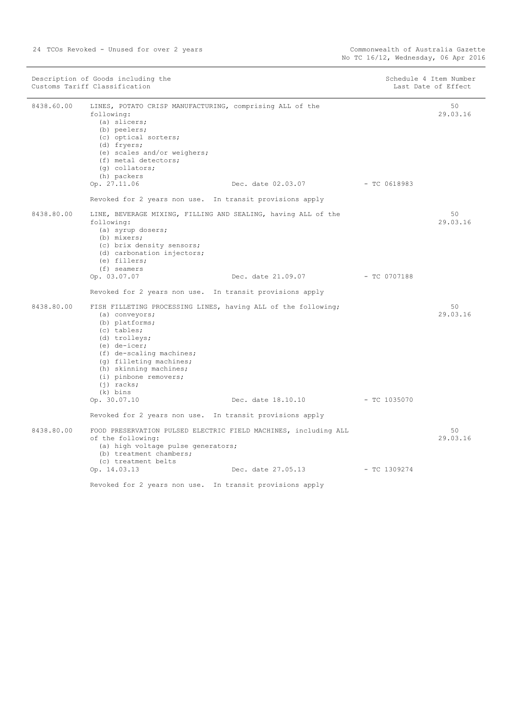| Description of Goods including the<br>Customs Tariff Classification |                                                                                                                                                                                                                                                                                           | Schedule 4 Item Number<br>Last Date of Effect |                |                |
|---------------------------------------------------------------------|-------------------------------------------------------------------------------------------------------------------------------------------------------------------------------------------------------------------------------------------------------------------------------------------|-----------------------------------------------|----------------|----------------|
| 8438.60.00                                                          | LINES, POTATO CRISP MANUFACTURING, comprising ALL of the<br>following:<br>(a) slicers;<br>(b) peelers;<br>(c) optical sorters;<br>(d) fryers;<br>(e) scales and/or weighers;<br>(f) metal detectors;<br>$(q)$ collators;<br>(h) packers<br>Op. 27.11.06                                   | Dec. date 02.03.07                            | $-$ TC 0618983 | 50<br>29.03.16 |
|                                                                     | Revoked for 2 years non use. In transit provisions apply                                                                                                                                                                                                                                  |                                               |                |                |
| 8438.80.00                                                          | LINE, BEVERAGE MIXING, FILLING AND SEALING, having ALL of the<br>following:<br>(a) syrup dosers;<br>(b) mixers;<br>(c) brix density sensors;<br>(d) carbonation injectors;<br>(e) fillers;<br>(f) seamers                                                                                 |                                               |                | 50<br>29.03.16 |
|                                                                     | Op. 03.07.07                                                                                                                                                                                                                                                                              | Dec. date 21.09.07                            | $-$ TC 0707188 |                |
|                                                                     | Revoked for 2 years non use. In transit provisions apply                                                                                                                                                                                                                                  |                                               |                |                |
| 8438.80.00                                                          | FISH FILLETING PROCESSING LINES, having ALL of the following;<br>(a) conveyors;<br>(b) platforms;<br>(c) tables;<br>(d) trolleys;<br>$(e)$ de-icer;<br>(f) de-scaling machines;<br>(q) filleting machines;<br>(h) skinning machines;<br>(i) pinbone removers;<br>$(i)$ racks;<br>(k) bins |                                               |                | 50<br>29.03.16 |
|                                                                     | Op. 30.07.10                                                                                                                                                                                                                                                                              | Dec. date 18.10.10                            | $-$ TC 1035070 |                |
|                                                                     | Revoked for 2 years non use. In transit provisions apply                                                                                                                                                                                                                                  |                                               |                |                |
| 8438.80.00                                                          | FOOD PRESERVATION PULSED ELECTRIC FIELD MACHINES, including ALL<br>of the following:<br>(a) high voltage pulse generators;<br>(b) treatment chambers;<br>(c) treatment belts                                                                                                              |                                               |                | 50<br>29.03.16 |
|                                                                     | Op. 14.03.13                                                                                                                                                                                                                                                                              | Dec. date 27.05.13                            | $-$ TC 1309274 |                |
|                                                                     | Revoked for 2 years non use. In transit provisions apply                                                                                                                                                                                                                                  |                                               |                |                |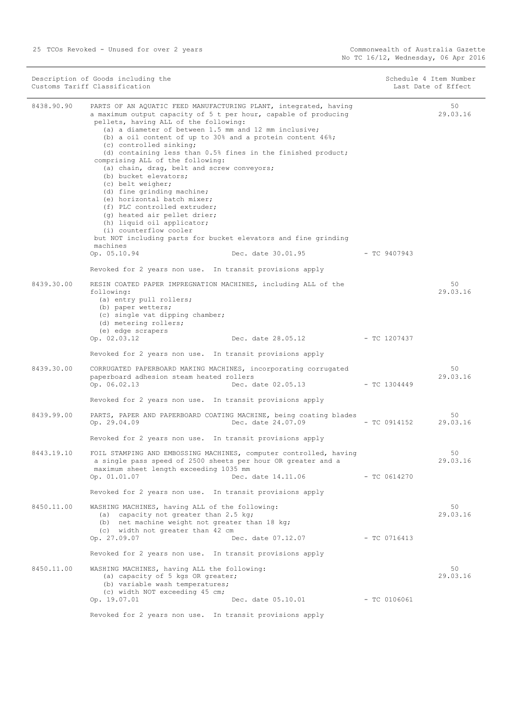|            | Customs Tariff Classification                                                                                                                                                                                                                                                                                                                                                                                                                                                                                                                                                                                                                                                                                                                                                                       |                    |                | Last Date of Effect |
|------------|-----------------------------------------------------------------------------------------------------------------------------------------------------------------------------------------------------------------------------------------------------------------------------------------------------------------------------------------------------------------------------------------------------------------------------------------------------------------------------------------------------------------------------------------------------------------------------------------------------------------------------------------------------------------------------------------------------------------------------------------------------------------------------------------------------|--------------------|----------------|---------------------|
| 8438.90.90 | PARTS OF AN AQUATIC FEED MANUFACTURING PLANT, integrated, having<br>a maximum output capacity of 5 t per hour, capable of producing<br>pellets, having ALL of the following:<br>(a) a diameter of between 1.5 mm and 12 mm inclusive;<br>(b) a oil content of up to 30% and a protein content $46\$ ;<br>(c) controlled sinking;<br>(d) containing less than 0.5% fines in the finished product;<br>comprising ALL of the following:<br>(a) chain, drag, belt and screw conveyors;<br>(b) bucket elevators;<br>(c) belt weigher;<br>(d) fine grinding machine;<br>(e) horizontal batch mixer;<br>(f) PLC controlled extruder;<br>(g) heated air pellet drier;<br>(h) liquid oil applicator;<br>(i) counterflow cooler<br>but NOT including parts for bucket elevators and fine grinding<br>machines |                    |                | 50<br>29.03.16      |
|            | Op. 05.10.94                                                                                                                                                                                                                                                                                                                                                                                                                                                                                                                                                                                                                                                                                                                                                                                        | Dec. date 30.01.95 | - TC 9407943   |                     |
|            | Revoked for 2 years non use. In transit provisions apply                                                                                                                                                                                                                                                                                                                                                                                                                                                                                                                                                                                                                                                                                                                                            |                    |                |                     |
| 8439.30.00 | RESIN COATED PAPER IMPREGNATION MACHINES, including ALL of the<br>following:<br>(a) entry pull rollers;<br>(b) paper wetters;<br>(c) single vat dipping chamber;<br>(d) metering rollers;<br>(e) edge scrapers                                                                                                                                                                                                                                                                                                                                                                                                                                                                                                                                                                                      |                    |                | 50<br>29.03.16      |
|            | Op. 02.03.12                                                                                                                                                                                                                                                                                                                                                                                                                                                                                                                                                                                                                                                                                                                                                                                        | Dec. date 28.05.12 | - TC 1207437   |                     |
|            | Revoked for 2 years non use. In transit provisions apply                                                                                                                                                                                                                                                                                                                                                                                                                                                                                                                                                                                                                                                                                                                                            |                    |                |                     |
| 8439.30.00 | CORRUGATED PAPERBOARD MAKING MACHINES, incorporating corrugated<br>paperboard adhesion steam heated rollers<br>Op. 06.02.13                                                                                                                                                                                                                                                                                                                                                                                                                                                                                                                                                                                                                                                                         | Dec. date 02.05.13 | - TC 1304449   | 50<br>29.03.16      |
|            | Revoked for 2 years non use. In transit provisions apply                                                                                                                                                                                                                                                                                                                                                                                                                                                                                                                                                                                                                                                                                                                                            |                    |                |                     |
| 8439.99.00 | PARTS, PAPER AND PAPERBOARD COATING MACHINE, being coating blades<br>Op. 29.04.09                                                                                                                                                                                                                                                                                                                                                                                                                                                                                                                                                                                                                                                                                                                   | Dec. date 24.07.09 | $-$ TC 0914152 | 50<br>29.03.16      |
|            | Revoked for 2 years non use. In transit provisions apply                                                                                                                                                                                                                                                                                                                                                                                                                                                                                                                                                                                                                                                                                                                                            |                    |                |                     |
| 8443.19.10 | FOIL STAMPING AND EMBOSSING MACHINES, computer controlled, having<br>a single pass speed of 2500 sheets per hour OR greater and a<br>maximum sheet length exceeding 1035 mm<br>Op. 01.01.07                                                                                                                                                                                                                                                                                                                                                                                                                                                                                                                                                                                                         | Dec. date 14.11.06 | $-$ TC 0614270 | 50<br>29.03.16      |
|            | Revoked for 2 years non use. In transit provisions apply                                                                                                                                                                                                                                                                                                                                                                                                                                                                                                                                                                                                                                                                                                                                            |                    |                |                     |
| 8450.11.00 | WASHING MACHINES, having ALL of the following:<br>(a) capacity not greater than 2.5 kg;<br>(b) net machine weight not greater than 18 kg;<br>(c) width not greater than 42 cm                                                                                                                                                                                                                                                                                                                                                                                                                                                                                                                                                                                                                       |                    |                | 50<br>29.03.16      |
|            | Op. 27.09.07                                                                                                                                                                                                                                                                                                                                                                                                                                                                                                                                                                                                                                                                                                                                                                                        | Dec. date 07.12.07 | $-$ TC 0716413 |                     |
|            |                                                                                                                                                                                                                                                                                                                                                                                                                                                                                                                                                                                                                                                                                                                                                                                                     |                    |                |                     |

 $\mathcal{O}(\mathcal{O}_\mathcal{O})$ 50 29.03.16

|            | COMPrising ALL OI the IOIIOWING:<br>(a) chain, drag, belt and screw conveyors;<br>(b) bucket elevators;<br>(c) belt weigher;<br>(d) fine grinding machine;<br>(e) horizontal batch mixer;<br>(f) PLC controlled extruder;<br>(g) heated air pellet drier;<br>(h) liquid oil applicator;<br>(i) counterflow cooler<br>but NOT including parts for bucket elevators and fine grinding |                                 |                |                |
|------------|-------------------------------------------------------------------------------------------------------------------------------------------------------------------------------------------------------------------------------------------------------------------------------------------------------------------------------------------------------------------------------------|---------------------------------|----------------|----------------|
|            | machines<br>Op. 05.10.94                                                                                                                                                                                                                                                                                                                                                            | Dec. date 30.01.95              | $-$ TC 9407943 |                |
|            | Revoked for 2 years non use. In transit provisions apply                                                                                                                                                                                                                                                                                                                            |                                 |                |                |
| 8439.30.00 | RESIN COATED PAPER IMPREGNATION MACHINES, including ALL of the<br>following:<br>(a) entry pull rollers;<br>(b) paper wetters;<br>(c) single vat dipping chamber;<br>(d) metering rollers;<br>(e) edge scrapers                                                                                                                                                                      |                                 |                | 50<br>29.03.16 |
|            | Op. 02.03.12                                                                                                                                                                                                                                                                                                                                                                        | Dec. date 28.05.12 - TC 1207437 |                |                |
|            | Revoked for 2 years non use. In transit provisions apply                                                                                                                                                                                                                                                                                                                            |                                 |                |                |
| 8439.30.00 | CORRUGATED PAPERBOARD MAKING MACHINES, incorporating corrugated<br>paperboard adhesion steam heated rollers<br>Op. 06.02.13                                                                                                                                                                                                                                                         | Dec. date 02.05.13 - TC 1304449 |                | 50<br>29.03.16 |
|            | Revoked for 2 years non use. In transit provisions apply                                                                                                                                                                                                                                                                                                                            |                                 |                |                |
| 8439.99.00 | PARTS, PAPER AND PAPERBOARD COATING MACHINE, being coating blades<br>Op. 29.04.09                                                                                                                                                                                                                                                                                                   | Dec. date 24.07.09              | - TC 0914152   | 50<br>29.03.16 |
|            | Revoked for 2 years non use. In transit provisions apply                                                                                                                                                                                                                                                                                                                            |                                 |                |                |
| 8443.19.10 | FOIL STAMPING AND EMBOSSING MACHINES, computer controlled, having<br>a single pass speed of 2500 sheets per hour OR greater and a<br>maximum sheet length exceeding 1035 mm<br>Op. 01.01.07                                                                                                                                                                                         | Dec. date 14.11.06              | $-TC$ 0614270  | 50<br>29.03.16 |
|            | Revoked for 2 years non use. In transit provisions apply                                                                                                                                                                                                                                                                                                                            |                                 |                |                |
| 8450.11.00 | WASHING MACHINES, having ALL of the following:<br>(a) capacity not greater than 2.5 kg;<br>(b) net machine weight not greater than 18 kg;<br>(c) width not greater than 42 cm<br>Op. 27.09.07                                                                                                                                                                                       | Dec. date 07.12.07              | - TC 0716413   | 50<br>29.03.16 |
|            | Revoked for 2 years non use. In transit provisions apply                                                                                                                                                                                                                                                                                                                            |                                 |                |                |
| 8450.11.00 | WASHING MACHINES, having ALL the following:<br>(a) capacity of 5 kgs OR greater;<br>(b) variable wash temperatures;<br>(c) width NOT exceeding 45 cm;                                                                                                                                                                                                                               |                                 |                | 50<br>29.03.16 |
|            | Op. 19.07.01                                                                                                                                                                                                                                                                                                                                                                        | Dec. date 05.10.01              | $-$ TC 0106061 |                |
|            | Revoked for 2 years non use. In transit provisions apply                                                                                                                                                                                                                                                                                                                            |                                 |                |                |

Description of Goods including the Schedule 4 Item Number (Schedule 4 Item Number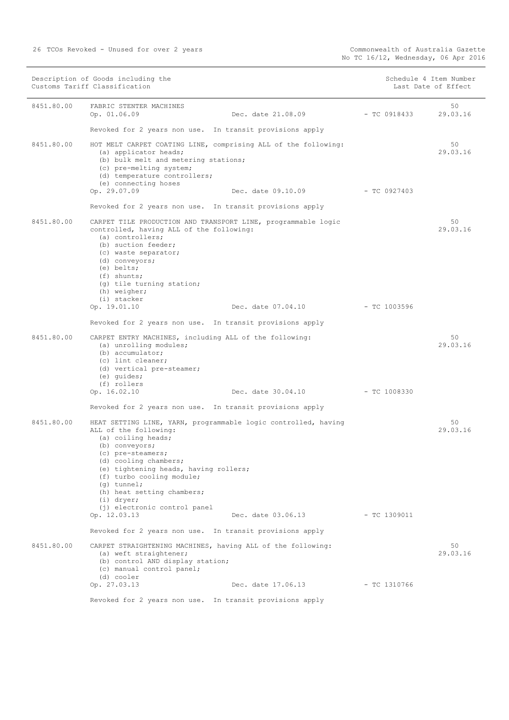|            | Description of Goods including the<br>Customs Tariff Classification                                                                                                                                                                                                                                                |                                 |                | Schedule 4 Item Number<br>Last Date of Effect |
|------------|--------------------------------------------------------------------------------------------------------------------------------------------------------------------------------------------------------------------------------------------------------------------------------------------------------------------|---------------------------------|----------------|-----------------------------------------------|
| 8451.80.00 | FABRIC STENTER MACHINES<br>Op. 01.06.09                                                                                                                                                                                                                                                                            | Dec. date 21.08.09              | $-$ TC 0918433 | 50<br>29.03.16                                |
|            | Revoked for 2 years non use. In transit provisions apply                                                                                                                                                                                                                                                           |                                 |                |                                               |
| 8451.80.00 | HOT MELT CARPET COATING LINE, comprising ALL of the following:<br>(a) applicator heads;<br>(b) bulk melt and metering stations;<br>(c) pre-melting system;<br>(d) temperature controllers;<br>(e) connecting hoses                                                                                                 |                                 |                | 50<br>29.03.16                                |
|            | Op. 29.07.09                                                                                                                                                                                                                                                                                                       | Dec. date 09.10.09 - TC 0927403 |                |                                               |
|            | Revoked for 2 years non use. In transit provisions apply                                                                                                                                                                                                                                                           |                                 |                |                                               |
| 8451.80.00 | CARPET TILE PRODUCTION AND TRANSPORT LINE, programmable logic<br>controlled, having ALL of the following:<br>(a) controllers;<br>(b) suction feeder;<br>(c) waste separator;<br>(d) conveyors;<br>(e) belts;<br>$(f)$ shunts;<br>(g) tile turning station;<br>(h) weigher;<br>(i) stacker                          |                                 |                | 50<br>29.03.16                                |
|            | Op. 19.01.10                                                                                                                                                                                                                                                                                                       | Dec. date 07.04.10              | $-$ TC 1003596 |                                               |
|            | Revoked for 2 years non use. In transit provisions apply                                                                                                                                                                                                                                                           |                                 |                |                                               |
| 8451.80.00 | CARPET ENTRY MACHINES, including ALL of the following:<br>(a) unrolling modules;<br>(b) accumulator;<br>(c) lint cleaner;<br>(d) vertical pre-steamer;<br>(e) quides;<br>(f) rollers                                                                                                                               |                                 |                | 50<br>29.03.16                                |
|            | Op. 16.02.10                                                                                                                                                                                                                                                                                                       | Dec. date 30.04.10 - TC 1008330 |                |                                               |
|            | Revoked for 2 years non use. In transit provisions apply                                                                                                                                                                                                                                                           |                                 |                |                                               |
| 8451.80.00 | HEAT SETTING LINE, YARN, programmable logic controlled, having<br>ALL of the following:<br>(a) coiling heads;<br>(b) conveyors;<br>(c) pre-steamers;<br>(d) cooling chambers;<br>(e) tightening heads, having rollers;<br>(f) turbo cooling module;<br>$(q)$ tunnel;<br>(h) heat setting chambers;<br>$(i)$ dryer; |                                 |                | 50<br>29.03.16                                |
|            | (i) electronic control panel<br>Op. 12.03.13                                                                                                                                                                                                                                                                       | Dec. date 03.06.13              | $-$ TC 1309011 |                                               |
|            | Revoked for 2 years non use. In transit provisions apply                                                                                                                                                                                                                                                           |                                 |                |                                               |
| 8451.80.00 | CARPET STRAIGHTENING MACHINES, having ALL of the following:<br>(a) weft straightener;<br>(b) control AND display station;<br>(c) manual control panel;<br>(d) cooler                                                                                                                                               |                                 |                | 50<br>29.03.16                                |
|            | Op. 27.03.13                                                                                                                                                                                                                                                                                                       | Dec. date 17.06.13              | $-$ TC 1310766 |                                               |
|            |                                                                                                                                                                                                                                                                                                                    |                                 |                |                                               |

Revoked for 2 years non use. In transit provisions apply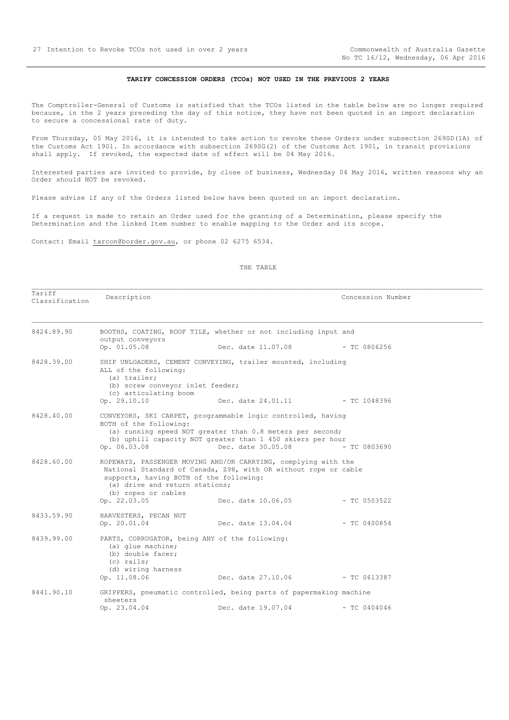### **TARIFF CONCESSION ORDERS (TCOs) NOT USED IN THE PREVIOUS 2 YEARS**

<span id="page-26-0"></span>The Comptroller-General of Customs is satisfied that the TCOs listed in the table below are no longer required because, in the 2 years preceding the day of this notice, they have not been quoted in an import declaration to secure a concessional rate of duty.

From Thursday, 05 May 2016, it is intended to take action to revoke these Orders under subsection 269SD(1A) of the Customs Act 1901. In accordance with subsection 269SG(2) of the Customs Act 1901, in transit provisions shall apply. If revoked, the expected date of effect will be 04 May 2016.

Interested parties are invited to provide, by close of business, Wednesday 04 May 2016, written reasons why an Order should NOT be revoked.

Please advise if any of the Orders listed below have been quoted on an import declaration.

If a request is made to retain an Order used for the granting of a Determination, please specify the Determination and the linked Item number to enable mapping to the Order and its scope.

Contact: Email tarcon@border.gov.au, or phone 02 6275 6534.

#### THE TABLE

Tariff Tariff Tariff Description Description Concession Number<br>Classification Description

| 8424.89.90 | output conveyors<br>Op. 01.05.08                                                                                             | BOOTHS, COATING, ROOF TILE, whether or not including input and<br>Dec. date 11.07.08 - TC 0806256                                 |                |
|------------|------------------------------------------------------------------------------------------------------------------------------|-----------------------------------------------------------------------------------------------------------------------------------|----------------|
|            |                                                                                                                              |                                                                                                                                   |                |
| 8428.39.00 | ALL of the following:<br>(a) trailer;                                                                                        | SHIP UNLOADERS, CEMENT CONVEYING, trailer mounted, including                                                                      |                |
|            | (b) screw conveyor inlet feeder;<br>(c) articulating boom                                                                    |                                                                                                                                   |                |
|            | Op. 29.10.10                                                                                                                 | Dec. date 24.01.11 - TC 1048396                                                                                                   |                |
| 8428.40.00 | BOTH of the following:                                                                                                       | CONVEYORS, SKI CARPET, programmable logic controlled, having                                                                      |                |
|            |                                                                                                                              | (a) running speed NOT greater than 0.8 meters per second;                                                                         |                |
|            |                                                                                                                              | (b) uphill capacity NOT greater than 1 450 skiers per hour                                                                        |                |
|            | Op. 06.03.08                                                                                                                 | Dec. date 30.05.08                                                                                                                | $-$ TC 0803690 |
| 8428.60.00 | supports, having BOTH of the following:<br>(a) drive and return stations;<br>(b) ropes or cables                             | ROPEWAYS, PASSENGER MOVING AND/OR CARRYING, complying with the<br>National Standard of Canada, Z98, with OR without rope or cable |                |
|            | Op. 22.03.05                                                                                                                 | Dec. date 10.06.05                                                                                                                | - тс 0503522   |
| 8433.59.90 | HARVESTERS, PECAN NUT                                                                                                        |                                                                                                                                   |                |
|            | Op. 20.01.04                                                                                                                 |                                                                                                                                   |                |
| 8439.99.00 | PARTS, CORRUGATOR, being ANY of the following:<br>(a) glue machine;<br>(b) double facer;<br>(c) rails;<br>(d) wiring harness |                                                                                                                                   |                |
|            | Op. 11.08.06                                                                                                                 | Dec. date 27.10.06 - TC 0613387                                                                                                   |                |
| 8441.90.10 | sheeters                                                                                                                     | GRIPPERS, pneumatic controlled, being parts of papermaking machine                                                                |                |
|            | Op. 23.04.04                                                                                                                 | Dec. date 19.07.04                                                                                                                | $-$ TC 0404046 |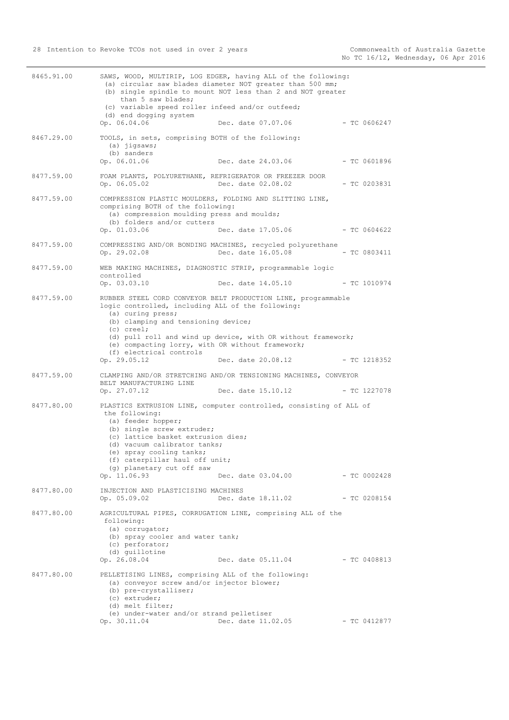|            | than 5 saw blades;<br>(c) variable speed roller infeed and/or outfeed;<br>(d) end dogging system                                                                                                                                                    | (b) single spindle to mount NOT less than 2 and NOT greater                                                                   |                |
|------------|-----------------------------------------------------------------------------------------------------------------------------------------------------------------------------------------------------------------------------------------------------|-------------------------------------------------------------------------------------------------------------------------------|----------------|
|            | Op. 06.04.06                                                                                                                                                                                                                                        | Dec. date 07.07.06                                                                                                            | $-$ TC 0606247 |
| 8467.29.00 | TOOLS, in sets, comprising BOTH of the following:<br>$(a)$ jigsaws;<br>(b) sanders<br>Op. 06.01.06                                                                                                                                                  | Dec. date 24.03.06                                                                                                            | $-$ TC 0601896 |
| 8477.59.00 | Op. 06.05.02                                                                                                                                                                                                                                        | FOAM PLANTS, POLYURETHANE, REFRIGERATOR OR FREEZER DOOR<br>Dec. date 02.08.02                                                 | $-$ TC 0203831 |
| 8477.59.00 | comprising BOTH of the following:<br>(a) compression moulding press and moulds;<br>(b) folders and/or cutters<br>Op. 01.03.06                                                                                                                       | COMPRESSION PLASTIC MOULDERS, FOLDING AND SLITTING LINE,<br>Dec. date 17.05.06                                                | $-$ TC 0604622 |
| 8477.59.00 | Op. 29.02.08                                                                                                                                                                                                                                        | COMPRESSING AND/OR BONDING MACHINES, recycled polyurethane<br>Dec. date 16.05.08                                              | $-$ TC 0803411 |
| 8477.59.00 | controlled                                                                                                                                                                                                                                          | WEB MAKING MACHINES, DIAGNOSTIC STRIP, programmable logic                                                                     |                |
|            | Op. 03.03.10                                                                                                                                                                                                                                        | Dec. date 14.05.10                                                                                                            | $-$ TC 1010974 |
| 8477.59.00 | logic controlled, including ALL of the following:<br>(a) curing press;<br>(b) clamping and tensioning device;<br>$(c) creel$ ;                                                                                                                      | RUBBER STEEL CORD CONVEYOR BELT PRODUCTION LINE, programmable<br>(d) pull roll and wind up device, with OR without framework; |                |
|            | (e) compacting lorry, with OR without framework;<br>(f) electrical controls                                                                                                                                                                         |                                                                                                                               |                |
|            | Op. 29.05.12                                                                                                                                                                                                                                        | Dec. date 20.08.12                                                                                                            | - TC 1218352   |
| 8477.59.00 | BELT MANUFACTURING LINE<br>Op. 27.07.12                                                                                                                                                                                                             | CLAMPING AND/OR STRETCHING AND/OR TENSIONING MACHINES, CONVEYOR<br>Dec. date 15.10.12                                         | $-$ TC 1227078 |
| 8477.80.00 | the following:<br>(a) feeder hopper;<br>(b) single screw extruder;<br>(c) lattice basket extrusion dies;<br>(d) vacuum calibrator tanks;<br>(e) spray cooling tanks;<br>(f) caterpillar haul off unit;<br>(q) planetary cut off saw<br>Op. 11.06.93 | PLASTICS EXTRUSION LINE, computer controlled, consisting of ALL of<br>Dec. date 03.04.00                                      | $-$ TC 0002428 |
| 8477.80.00 | INJECTION AND PLASTICISING MACHINES                                                                                                                                                                                                                 |                                                                                                                               |                |
|            | Op. 05.09.02                                                                                                                                                                                                                                        | Dec. date 18.11.02                                                                                                            | $-$ TC 0208154 |
| 8477.80.00 | following:<br>(a) corrugator;<br>(b) spray cooler and water tank;<br>(c) perforator;<br>(d) quillotine<br>Op. 26.08.04                                                                                                                              | AGRICULTURAL PIPES, CORRUGATION LINE, comprising ALL of the<br>Dec. date 05.11.04                                             | - TC 0408813   |
| 8477.80.00 | PELLETISING LINES, comprising ALL of the following:<br>(a) conveyor screw and/or injector blower;<br>(b) pre-crystalliser;<br>(c) extruder;<br>(d) melt filter;<br>(e) under-water and/or strand pelletiser<br>Op. 30.11.04                         | Dec. date 11.02.05                                                                                                            | $-$ TC 0412877 |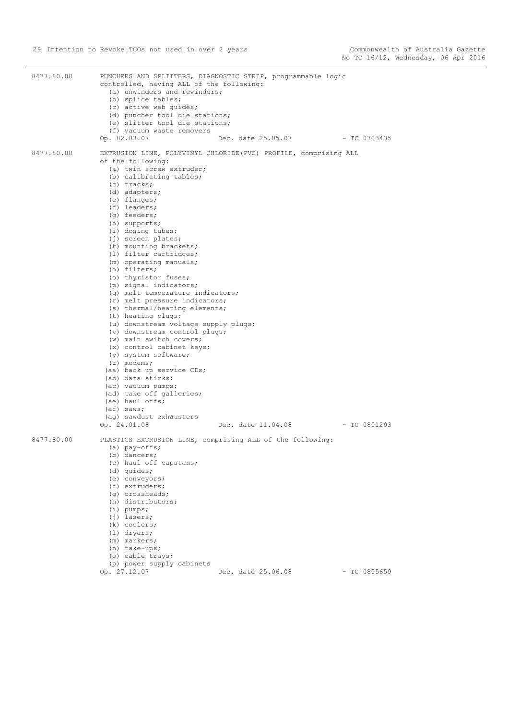| 8477.80.00 | PUNCHERS AND SPLITTERS, DIAGNOSTIC STRIP, programmable logic<br>controlled, having ALL of the following:<br>(a) unwinders and rewinders;<br>(b) splice tables;<br>(c) active web quides;<br>(d) puncher tool die stations;<br>(e) slitter tool die stations;<br>(f) vacuum waste removers<br>Op. 02.03.07<br>Dec. date 25.05.07 - TC 0703435                                                                                                                                                                                                                                                                                                                                                                                                                                                                                                                                                                                                                              |
|------------|---------------------------------------------------------------------------------------------------------------------------------------------------------------------------------------------------------------------------------------------------------------------------------------------------------------------------------------------------------------------------------------------------------------------------------------------------------------------------------------------------------------------------------------------------------------------------------------------------------------------------------------------------------------------------------------------------------------------------------------------------------------------------------------------------------------------------------------------------------------------------------------------------------------------------------------------------------------------------|
| 8477.80.00 | EXTRUSION LINE, POLYVINYL CHLORIDE (PVC) PROFILE, comprising ALL<br>of the following:<br>(a) twin screw extruder;<br>(b) calibrating tables;<br>(c) tracks;<br>(d) adapters;<br>(e) flanges;<br>(f) leaders;<br>(q) feeders;<br>(h) supports;<br>(i) dosing tubes;<br>(j) screen plates;<br>(k) mounting brackets;<br>(1) filter cartridges;<br>(m) operating manuals;<br>(n) filters;<br>(o) thyristor fuses;<br>(p) signal indicators;<br>(q) melt temperature indicators;<br>(r) melt pressure indicators;<br>(s) thermal/heating elements;<br>(t) heating plugs;<br>(u) downstream voltage supply plugs;<br>(v) downstream control plugs;<br>(w) main switch covers;<br>(x) control cabinet keys;<br>(y) system software;<br>$(z)$ modems;<br>(aa) back up service CDs;<br>(ab) data sticks;<br>(ac) vacuum pumps;<br>(ad) take off galleries;<br>(ae) haul offs;<br>$(a f)$ saws;<br>(ag) sawdust exhausters<br>Op. 24.01.08<br>Dec. date 11.04.08<br>$-$ TC 0801293 |
| 8477.80.00 | PLASTICS EXTRUSION LINE, comprising ALL of the following:<br>$(a)$ pay-offs;<br>(b) dancers;<br>(c) haul off capstans;<br>(d) quides;<br>(e) conveyors;<br>(f) extruders;<br>(g) crossheads;<br>(h) distributors;<br>$(i)$ pumps;<br>$(i)$ lasers;<br>(k) coolers;<br>$(l)$ dryers;<br>(m) markers;<br>(n) take-ups;<br>(o) cable trays;<br>(p) power supply cabinets<br>Op. 27.12.07<br>Dec. date 25.06.08<br>$-$ TC 0805659                                                                                                                                                                                                                                                                                                                                                                                                                                                                                                                                             |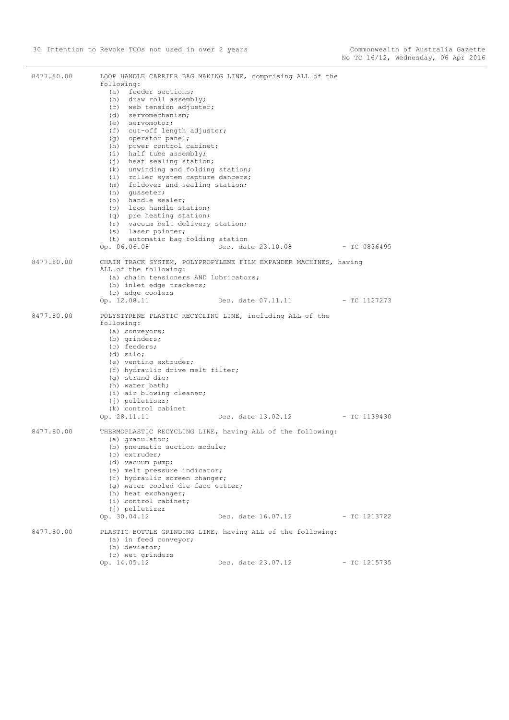| 8477.80.00 | following:<br>(a) feeder sections;<br>(b) draw roll assembly;<br>(c) web tension adjuster;<br>(d) servomechanism;<br>(e) servomotor;<br>(f) cut-off length adjuster;<br>(g) operator panel;<br>(h) power control cabinet;<br>(i) half tube assembly;<br>$(i)$ heat sealing station;<br>(k) unwinding and folding station;<br>(1) roller system capture dancers;<br>foldover and sealing station;<br>(m)<br>(n) qusseter;<br>(o) handle sealer;<br>(p) loop handle station;<br>(q) pre heating station;<br>(r) vacuum belt delivery station;<br>(s) laser pointer;<br>(t) automatic bag folding station<br>Op. 06.06.08 | LOOP HANDLE CARRIER BAG MAKING LINE, comprising ALL of the<br>Dec. date 23.10.08 | $-$ TC 0836495 |
|------------|------------------------------------------------------------------------------------------------------------------------------------------------------------------------------------------------------------------------------------------------------------------------------------------------------------------------------------------------------------------------------------------------------------------------------------------------------------------------------------------------------------------------------------------------------------------------------------------------------------------------|----------------------------------------------------------------------------------|----------------|
| 8477.80.00 | ALL of the following:                                                                                                                                                                                                                                                                                                                                                                                                                                                                                                                                                                                                  | CHAIN TRACK SYSTEM, POLYPROPYLENE FILM EXPANDER MACHINES, having                 |                |
|            | (a) chain tensioners AND lubricators;<br>(b) inlet edge trackers;<br>(c) edge coolers                                                                                                                                                                                                                                                                                                                                                                                                                                                                                                                                  |                                                                                  |                |
|            | Op. 12.08.11                                                                                                                                                                                                                                                                                                                                                                                                                                                                                                                                                                                                           | Dec. date 07.11.11                                                               | - TC 1127273   |
| 8477.80.00 | POLYSTYRENE PLASTIC RECYCLING LINE, including ALL of the<br>following:<br>(a) conveyors;<br>(b) grinders;<br>(c) feeders;<br>$(d)$ silo;<br>(e) venting extruder;<br>(f) hydraulic drive melt filter;<br>(q) strand die;<br>(h) water bath;<br>(i) air blowing cleaner;<br>$(j)$ pelletiser;<br>(k) control cabinet<br>Op. 28.11.11                                                                                                                                                                                                                                                                                    | Dec. date 13.02.12 - TC 1139430                                                  |                |
| 8477.80.00 | (a) granulator;<br>(b) pneumatic suction module;<br>(c) extruder;<br>(d) vacuum pump;<br>(e) melt pressure indicator;<br>(f) hydraulic screen changer;<br>(g) water cooled die face cutter;<br>(h) heat exchanger;<br>(i) control cabinet;<br>(j) pelletizer<br>Op. 30.04.12                                                                                                                                                                                                                                                                                                                                           | THERMOPLASTIC RECYCLING LINE, having ALL of the following:<br>Dec. date 16.07.12 | - TC 1213722   |
| 8477.80.00 | (a) in feed conveyor;<br>(b) deviator;<br>(c) wet grinders<br>Op. 14.05.12                                                                                                                                                                                                                                                                                                                                                                                                                                                                                                                                             | PLASTIC BOTTLE GRINDING LINE, having ALL of the following:<br>Dec. date 23.07.12 | $-$ TC 1215735 |
|            |                                                                                                                                                                                                                                                                                                                                                                                                                                                                                                                                                                                                                        |                                                                                  |                |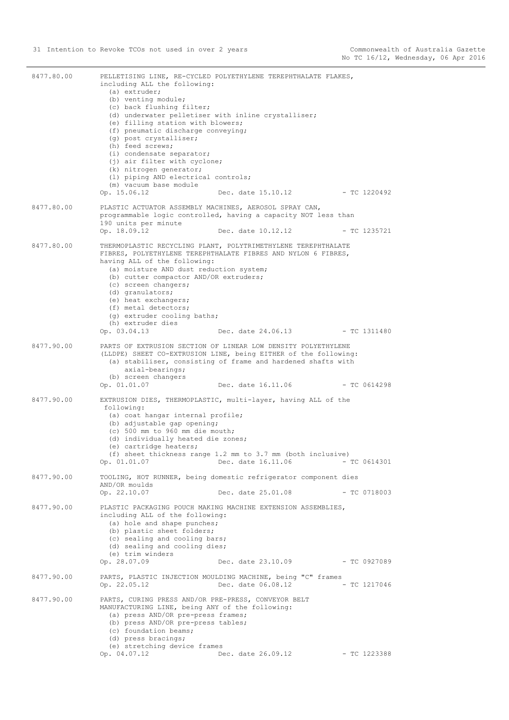| 8477.80.00 | including ALL the following:<br>(a) extruder;<br>(b) venting module;<br>(c) back flushing filter;<br>(d) underwater pelletiser with inline crystalliser;<br>(e) filling station with blowers;<br>(f) pneumatic discharge conveying;<br>(g) post crystalliser;<br>(h) feed screws;<br>(i) condensate separator;<br>(j) air filter with cyclone;<br>(k) nitrogen generator;<br>(1) piping AND electrical controls;<br>(m) vacuum base module<br>Op. 15.06.12 | PELLETISING LINE, RE-CYCLED POLYETHYLENE TEREPHTHALATE FLAKES,<br>Dec. date 15.10.12 - TC 1220492                                                                                                                      |                |
|------------|------------------------------------------------------------------------------------------------------------------------------------------------------------------------------------------------------------------------------------------------------------------------------------------------------------------------------------------------------------------------------------------------------------------------------------------------------------|------------------------------------------------------------------------------------------------------------------------------------------------------------------------------------------------------------------------|----------------|
| 8477.80.00 | PLASTIC ACTUATOR ASSEMBLY MACHINES, AEROSOL SPRAY CAN,<br>190 units per minute<br>Op. 18.09.12                                                                                                                                                                                                                                                                                                                                                             | programmable logic controlled, having a capacity NOT less than<br>Dec. date 10.12.12                                                                                                                                   | $-$ TC 1235721 |
| 8477.80.00 | having ALL of the following:<br>(a) moisture AND dust reduction system;<br>(b) cutter compactor AND/OR extruders;<br>(c) screen changers;<br>(d) granulators;<br>(e) heat exchangers;<br>(f) metal detectors;<br>(g) extruder cooling baths;<br>(h) extruder dies                                                                                                                                                                                          | THERMOPLASTIC RECYCLING PLANT, POLYTRIMETHYLENE TEREPHTHALATE<br>FIBRES, POLYETHYLENE TEREPHTHALATE FIBRES AND NYLON 6 FIBRES,                                                                                         |                |
|            | Op. 03.04.13                                                                                                                                                                                                                                                                                                                                                                                                                                               | Dec. date 24.06.13                                                                                                                                                                                                     | $-$ TC 1311480 |
| 8477.90.00 | axial-bearings;<br>(b) screen changers<br>Op. 01.01.07                                                                                                                                                                                                                                                                                                                                                                                                     | PARTS OF EXTRUSION SECTION OF LINEAR LOW DENSITY POLYETHYLENE<br>(LLDPE) SHEET CO-EXTRUSION LINE, being EITHER of the following:<br>(a) stabiliser, consisting of frame and hardened shafts with<br>Dec. date 16.11.06 | $-$ TC 0614298 |
| 8477.90.00 | following:<br>(a) coat hangar internal profile;<br>(b) adjustable gap opening;<br>(c) 500 mm to 960 mm die mouth;<br>(d) individually heated die zones;<br>(e) cartridge heaters;<br>Op. 01.01.07                                                                                                                                                                                                                                                          | EXTRUSION DIES, THERMOPLASTIC, multi-layer, having ALL of the<br>(f) sheet thickness range 1.2 mm to 3.7 mm (both inclusive)<br>Dec. date 16.11.06                                                                     | $-$ TC 0614301 |
| 8477.90.00 | AND/OR moulds<br>Op. 22.10.07                                                                                                                                                                                                                                                                                                                                                                                                                              | TOOLING, HOT RUNNER, being domestic refrigerator component dies<br>Dec. date 25.01.08                                                                                                                                  | $-$ TC 0718003 |
| 8477.90.00 | including ALL of the following:<br>(a) hole and shape punches;<br>(b) plastic sheet folders;<br>(c) sealing and cooling bars;<br>(d) sealing and cooling dies;<br>(e) trim winders<br>Op. 28.07.09                                                                                                                                                                                                                                                         | PLASTIC PACKAGING POUCH MAKING MACHINE EXTENSION ASSEMBLIES,<br>Dec. date 23.10.09                                                                                                                                     | $-$ TC 0927089 |
| 8477.90.00 | Op. 22.05.12                                                                                                                                                                                                                                                                                                                                                                                                                                               | PARTS, PLASTIC INJECTION MOULDING MACHINE, being "C" frames<br>Dec. date 06.08.12                                                                                                                                      | $-$ TC 1217046 |
| 8477.90.00 | PARTS, CURING PRESS AND/OR PRE-PRESS, CONVEYOR BELT<br>MANUFACTURING LINE, being ANY of the following:<br>(a) press AND/OR pre-press frames;<br>(b) press AND/OR pre-press tables;<br>(c) foundation beams;<br>(d) press bracings;<br>(e) stretching device frames<br>Op. 04.07.12                                                                                                                                                                         | Dec. date 26.09.12                                                                                                                                                                                                     | $-$ TC 1223388 |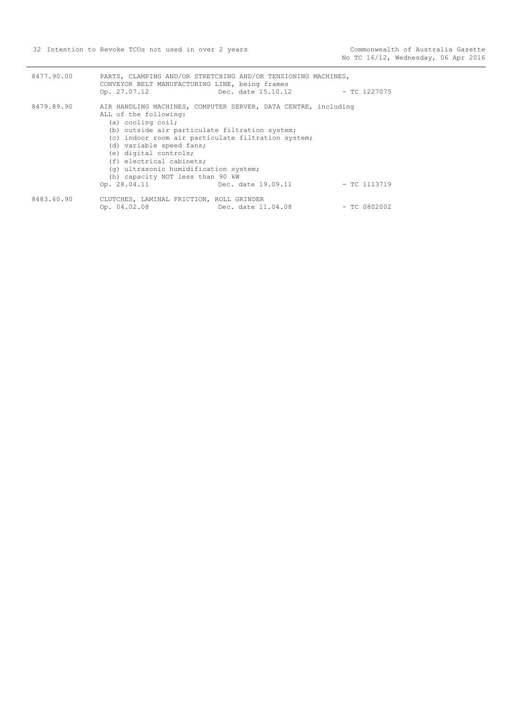| 8477.90.00 | CONVEYOR BELT MANUFACTURING LINE, being frames<br>Op. 27.07.12                                                                                                                                                                                                                                                                   | PARTS, CLAMPING AND/OR STRETCHING AND/OR TENSIONING MACHINES,<br>Dec. date 15.10.12  | - TC 1227075   |
|------------|----------------------------------------------------------------------------------------------------------------------------------------------------------------------------------------------------------------------------------------------------------------------------------------------------------------------------------|--------------------------------------------------------------------------------------|----------------|
| 8479.89.90 | ALL of the following:<br>(a) cooling coil;<br>(b) outside air particulate filtration system;<br>(c) indoor room air particulate filtration system;<br>(d) variable speed fans;<br>(e) digital controls;<br>(f) electrical cabinets;<br>(q) ultrasonic humidification system;<br>(h) capacity NOT less than 90 kW<br>Op. 28.04.11 | AIR HANDLING MACHINES, COMPUTER SERVER, DATA CENTRE, including<br>Dec. date 19.09.11 | - TC 1113719   |
| 8483.60.90 | CLUTCHES, LAMINAL FRICTION, ROLL GRINDER<br>Op. $04.02.08$                                                                                                                                                                                                                                                                       | Dec. date 11.04.08                                                                   | $-$ TC 0802002 |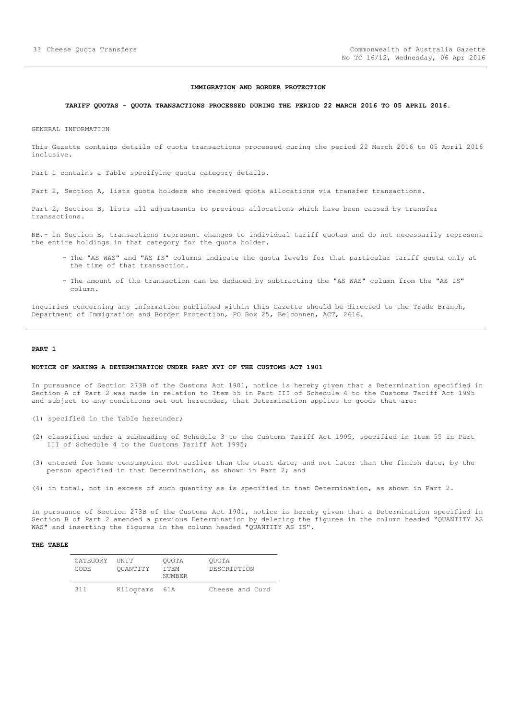#### **IMMIGRATION AND BORDER PROTECTION**

## <span id="page-32-0"></span>**TARIFF QUOTAS - QUOTA TRANSACTIONS PROCESSED DURING THE PERIOD 22 MARCH 2016 TO 05 APRIL 2016.**

GENERAL INFORMATION

This Gazette contains details of quota transactions processed curing the period 22 March 2016 to 05 April 2016 inclusive.

Part 1 contains a Table specifying quota category details.

Part 2, Section A, lists quota holders who received quota allocations via transfer transactions.

Part 2, Section B, lists all adjustments to previous allocations which have been caused by transfer transactions.

NB.- In Section B, transactions represent changes to individual tariff quotas and do not necessarily represent the entire holdings in that category for the quota holder.

- The "AS WAS" and "AS IS" columns indicate the quota levels for that particular tariff quota only at the time of that transaction.
- The amount of the transaction can be deduced by subtracting the "AS WAS" column from the "AS IS" column.

Inquiries concerning any information published within this Gazette should be directed to the Trade Branch, Department of Immigration and Border Protection, PO Box 25, Belconnen, ACT, 2616.

#### **PART 1**

#### **NOTICE OF MAKING A DETERMINATION UNDER PART XVI OF THE CUSTOMS ACT 1901**

In pursuance of Section 273B of the Customs Act 1901, notice is hereby given that a Determination specified in Section A of Part 2 was made in relation to Item 55 in Part III of Schedule 4 to the Customs Tariff Act 1995 and subject to any conditions set out hereunder, that Determination applies to goods that are:

- (1) specified in the Table hereunder;
- (2) classified under a subheading of Schedule 3 to the Customs Tariff Act 1995, specified in Item 55 in Part III of Schedule 4 to the Customs Tariff Act 1995;
- (3) entered for home consumption not earlier than the start date, and not later than the finish date, by the person specified in that Determination, as shown in Part 2; and
- (4) in total, not in excess of such quantity as is specified in that Determination, as shown in Part 2.

In pursuance of Section 273B of the Customs Act 1901, notice is hereby given that a Determination specified in Section B of Part 2 amended a previous Determination by deleting the figures in the column headed "QUANTITY AS WAS" and inserting the figures in the column headed "QUANTITY AS IS".

| CATEGORY<br>CODE. | <b>TINTT</b><br>OUANTITY | OUOTA<br>T TEM<br>NUMBER | OUOTA<br>DESCRIPTION |
|-------------------|--------------------------|--------------------------|----------------------|
| 311               | Kilograms                | 61 A                     | Cheese and Curd      |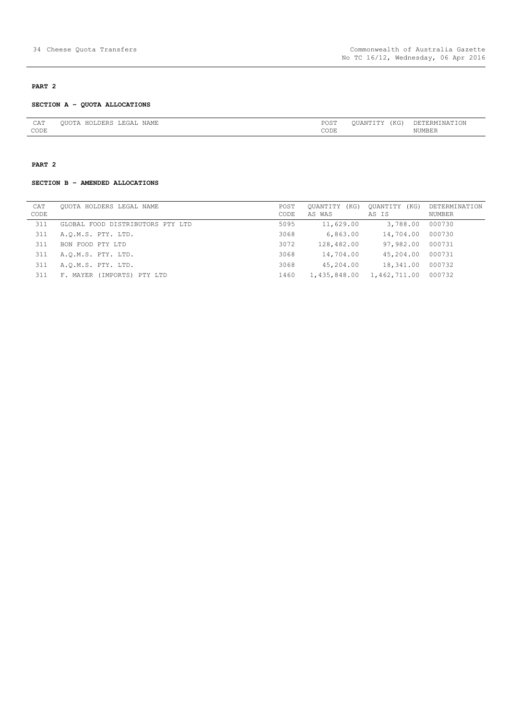# **PART 2**

#### **SECTION A – QUOTA ALLOCATIONS**

| CAT         | JAME<br>$\tilde{\phantom{a}}$ | $n \cap$<br>$\sim$<br>ు     | $T Z \cap T$<br>---<br>A L<br>. NG<br>- - - -<br>the contract of the contract of the | 1H. |
|-------------|-------------------------------|-----------------------------|--------------------------------------------------------------------------------------|-----|
| <b>CODE</b> |                               | $\sim$ $\sim$ $\sim$ $\sim$ |                                                                                      |     |

# **PART 2**

# **SECTION B – AMENDED ALLOCATIONS**

| CAT  | OUOTA HOLDERS LEGAL NAME         | POST | (KG)<br>OUANTITY | OUANTITY<br>(KG) | DETERMINATION |
|------|----------------------------------|------|------------------|------------------|---------------|
| CODE |                                  | CODE | AS WAS           | AS IS            | NUMBER        |
| 311  | GLOBAL FOOD DISTRIBUTORS PTY LTD | 5095 | 11,629.00        | 3,788.00         | 000730        |
| 311  | A.O.M.S. PTY. LTD.               | 3068 | 6,863.00         | 14,704.00        | 000730        |
| 311  | BON FOOD PTY LTD                 | 3072 | 128,482.00       | 97,982.00        | 000731        |
| 311  | A.O.M.S. PTY. LTD.               | 3068 | 14,704.00        | 45,204.00        | 000731        |
| 311  | A.O.M.S. PTY. LTD.               | 3068 | 45,204.00        | 18,341.00        | 000732        |
| 311  | F. MAYER (IMPORTS) PTY LTD       | 1460 | 1,435,848.00     | 1,462,711.00     | 000732        |